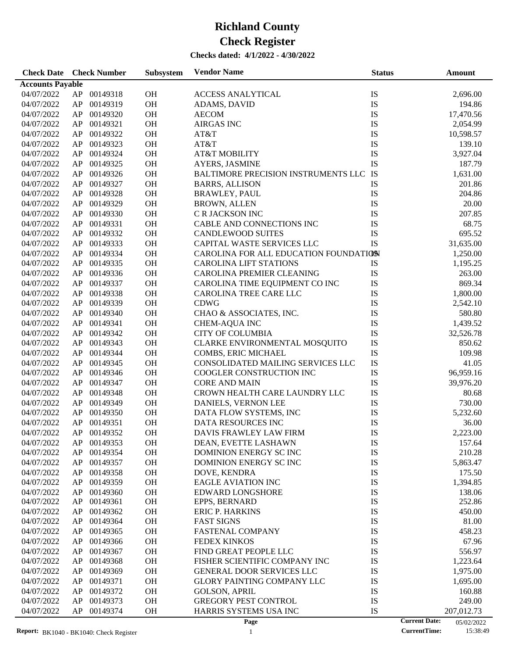#### **Checks dated: 4/1/2022 - 4/30/2022**

| <b>Check Date</b>       |    | <b>Check Number</b> | <b>Subsystem</b> | <b>Vendor Name</b>                    | <b>Status</b> | Amount                             |
|-------------------------|----|---------------------|------------------|---------------------------------------|---------------|------------------------------------|
| <b>Accounts Payable</b> |    |                     |                  |                                       |               |                                    |
| 04/07/2022              | AP | 00149318            | <b>OH</b>        | <b>ACCESS ANALYTICAL</b>              | IS            | 2,696.00                           |
| 04/07/2022              | AP | 00149319            | OH               | ADAMS, DAVID                          | IS            | 194.86                             |
| 04/07/2022              | AP | 00149320            | <b>OH</b>        | <b>AECOM</b>                          | IS            | 17,470.56                          |
| 04/07/2022              | AP | 00149321            | OH               | <b>AIRGAS INC</b>                     | IS            | 2,054.99                           |
| 04/07/2022              | AP | 00149322            | OH               | AT&T                                  | IS            | 10,598.57                          |
| 04/07/2022              | AP | 00149323            | OH               | AT&T                                  | IS            | 139.10                             |
| 04/07/2022              | AP | 00149324            | OH               | <b>AT&amp;T MOBILITY</b>              | IS            | 3,927.04                           |
| 04/07/2022              | AP | 00149325            | OH               | AYERS, JASMINE                        | <b>IS</b>     | 187.79                             |
| 04/07/2022              | AP | 00149326            | OH               | BALTIMORE PRECISION INSTRUMENTS LLC   | IS            | 1,631.00                           |
| 04/07/2022              | AP | 00149327            | OH               | <b>BARRS, ALLISON</b>                 | IS            | 201.86                             |
| 04/07/2022              | AP | 00149328            | OH               | <b>BRAWLEY, PAUL</b>                  | IS            | 204.86                             |
| 04/07/2022              | AP | 00149329            | OH               | <b>BROWN, ALLEN</b>                   | IS            | 20.00                              |
| 04/07/2022              | AP | 00149330            | OH               | C R JACKSON INC                       | IS            | 207.85                             |
| 04/07/2022              | AP | 00149331            | OH               | CABLE AND CONNECTIONS INC             | IS            | 68.75                              |
| 04/07/2022              | AP | 00149332            | OH               | <b>CANDLEWOOD SUITES</b>              | IS            | 695.52                             |
| 04/07/2022              | AP | 00149333            | OH               | CAPITAL WASTE SERVICES LLC            | <b>IS</b>     | 31,635.00                          |
| 04/07/2022              | AP | 00149334            | OH               | CAROLINA FOR ALL EDUCATION FOUNDATION |               | 1,250.00                           |
| 04/07/2022              |    | 00149335            | OH               | <b>CAROLINA LIFT STATIONS</b>         | IS            |                                    |
|                         | AP | 00149336            |                  | <b>CAROLINA PREMIER CLEANING</b>      |               | 1,195.25                           |
| 04/07/2022              | AP |                     | OH               |                                       | IS            | 263.00                             |
| 04/07/2022              | AP | 00149337            | OH               | CAROLINA TIME EQUIPMENT CO INC        | IS            | 869.34                             |
| 04/07/2022              | AP | 00149338            | OH               | CAROLINA TREE CARE LLC                | IS            | 1,800.00                           |
| 04/07/2022              | AP | 00149339            | OH               | <b>CDWG</b>                           | IS            | 2,542.10                           |
| 04/07/2022              | AP | 00149340            | OH               | CHAO & ASSOCIATES, INC.               | IS            | 580.80                             |
| 04/07/2022              | AP | 00149341            | OH               | CHEM-AQUA INC                         | IS            | 1,439.52                           |
| 04/07/2022              | AP | 00149342            | OH               | <b>CITY OF COLUMBIA</b>               | IS            | 32,526.78                          |
| 04/07/2022              | AP | 00149343            | OH               | CLARKE ENVIRONMENTAL MOSQUITO         | IS            | 850.62                             |
| 04/07/2022              | AP | 00149344            | OH               | COMBS, ERIC MICHAEL                   | IS            | 109.98                             |
| 04/07/2022              | AP | 00149345            | OH               | CONSOLIDATED MAILING SERVICES LLC     | IS            | 41.05                              |
| 04/07/2022              | AP | 00149346            | OH               | COOGLER CONSTRUCTION INC              | IS            | 96,959.16                          |
| 04/07/2022              | AP | 00149347            | OH               | <b>CORE AND MAIN</b>                  | IS            | 39,976.20                          |
| 04/07/2022              | AP | 00149348            | OH               | CROWN HEALTH CARE LAUNDRY LLC         | IS            | 80.68                              |
| 04/07/2022              | AP | 00149349            | OH               | DANIELS, VERNON LEE                   | IS            | 730.00                             |
| 04/07/2022              | AP | 00149350            | OH               | DATA FLOW SYSTEMS, INC                | IS            | 5,232.60                           |
| 04/07/2022              | AP | 00149351            | OH               | DATA RESOURCES INC                    | IS            | 36.00                              |
| 04/07/2022              | AP | 00149352            | <b>OH</b>        | DAVIS FRAWLEY LAW FIRM                | IS            | 2,223.00                           |
| 04/07/2022              | AP | 00149353            | OH               | DEAN, EVETTE LASHAWN                  | IS            | 157.64                             |
| 04/07/2022              | AP | 00149354            | OH               | DOMINION ENERGY SC INC                | IS            | 210.28                             |
| 04/07/2022              | AP | 00149357            | OH               | DOMINION ENERGY SC INC                | IS            | 5,863.47                           |
| 04/07/2022              | AP | 00149358            | OH               | DOVE, KENDRA                          | IS            | 175.50                             |
| 04/07/2022              | AP | 00149359            | OH               | <b>EAGLE AVIATION INC</b>             | IS            | 1,394.85                           |
| 04/07/2022              | AP | 00149360            | OH               | <b>EDWARD LONGSHORE</b>               | IS            | 138.06                             |
| 04/07/2022              | AP | 00149361            | <b>OH</b>        | EPPS, BERNARD                         | IS            | 252.86                             |
| 04/07/2022              | AP | 00149362            | OH               | <b>ERIC P. HARKINS</b>                | IS            | 450.00                             |
| 04/07/2022              | AP | 00149364            | OH               | <b>FAST SIGNS</b>                     | IS            | 81.00                              |
| 04/07/2022              | AP | 00149365            | OH               | <b>FASTENAL COMPANY</b>               | IS            | 458.23                             |
| 04/07/2022              | AP | 00149366            | OH               | <b>FEDEX KINKOS</b>                   | IS            | 67.96                              |
| 04/07/2022              | AP | 00149367            | OH               | FIND GREAT PEOPLE LLC                 | IS            | 556.97                             |
| 04/07/2022              | AP | 00149368            | OH               | FISHER SCIENTIFIC COMPANY INC         | IS            | 1,223.64                           |
| 04/07/2022              | AP | 00149369            | OH               | GENERAL DOOR SERVICES LLC             | IS            | 1,975.00                           |
| 04/07/2022              | AP | 00149371            | OH               | <b>GLORY PAINTING COMPANY LLC</b>     | IS            | 1,695.00                           |
| 04/07/2022              | AP | 00149372            | OH               | <b>GOLSON, APRIL</b>                  | IS            | 160.88                             |
| 04/07/2022              | AP | 00149373            | OH               | <b>GREGORY PEST CONTROL</b>           | IS            | 249.00                             |
| 04/07/2022              | AP | 00149374            | OH               | HARRIS SYSTEMS USA INC                | IS            | 207,012.73                         |
|                         |    |                     |                  | Page                                  |               | <b>Current Date:</b><br>05/02/2022 |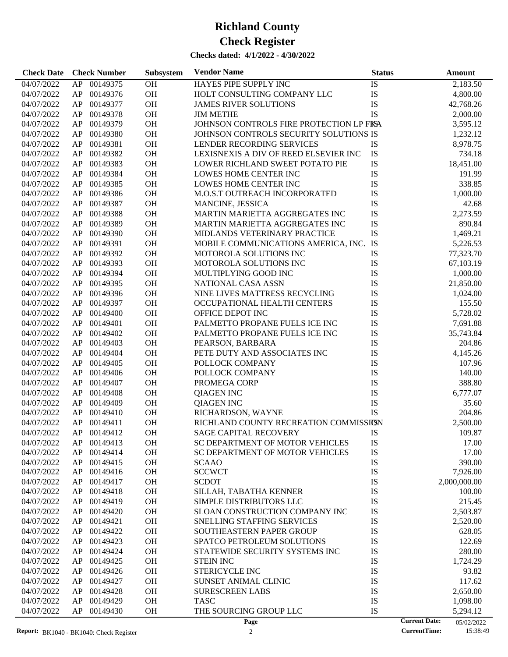| <b>Check Date</b> | <b>Check Number</b>    | <b>Subsystem</b> | <b>Vendor Name</b>                       | <b>Status</b> | Amount                             |
|-------------------|------------------------|------------------|------------------------------------------|---------------|------------------------------------|
| 04/07/2022        | 00149375<br>AP         | OH               | HAYES PIPE SUPPLY INC                    | IS            | 2,183.50                           |
| 04/07/2022        | 00149376<br>AP         | OH               | HOLT CONSULTING COMPANY LLC              | IS            | 4,800.00                           |
| 04/07/2022        | AP<br>00149377         | OH               | <b>JAMES RIVER SOLUTIONS</b>             | IS            | 42,768.26                          |
| 04/07/2022        | AP<br>00149378         | OH               | <b>JIM METHE</b>                         | <b>IS</b>     | 2,000.00                           |
| 04/07/2022        | 00149379<br>AP         | OH               | JOHNSON CONTROLS FIRE PROTECTION LP FISA |               | 3,595.12                           |
| 04/07/2022        | AP<br>00149380         | OH               | JOHNSON CONTROLS SECURITY SOLUTIONS IS   |               | 1,232.12                           |
| 04/07/2022        | AP<br>00149381         | OH               | LENDER RECORDING SERVICES                | IS            | 8,978.75                           |
| 04/07/2022        | 00149382<br>AP         | OH               | LEXISNEXIS A DIV OF REED ELSEVIER INC    | IS            | 734.18                             |
| 04/07/2022        | 00149383<br>AP         | OH               | LOWER RICHLAND SWEET POTATO PIE          | IS            | 18,451.00                          |
| 04/07/2022        | AP<br>00149384         | OH               | LOWES HOME CENTER INC                    | IS            | 191.99                             |
| 04/07/2022        | AP<br>00149385         | OH               | LOWES HOME CENTER INC                    | IS            | 338.85                             |
| 04/07/2022        | 00149386<br>AP         | OH               | M.O.S.T OUTREACH INCORPORATED            | IS            | 1,000.00                           |
| 04/07/2022        | 00149387<br>AP         | OH               | MANCINE, JESSICA                         | IS            | 42.68                              |
| 04/07/2022        | AP<br>00149388         | OH               | MARTIN MARIETTA AGGREGATES INC           | IS            | 2,273.59                           |
| 04/07/2022        | 00149389<br>AP         | OH               | MARTIN MARIETTA AGGREGATES INC           | IS            | 890.84                             |
| 04/07/2022        | 00149390<br>AP         | OH               | MIDLANDS VETERINARY PRACTICE             | IS            | 1,469.21                           |
| 04/07/2022        | AP<br>00149391         | OH               | MOBILE COMMUNICATIONS AMERICA, INC.      | IS            | 5,226.53                           |
| 04/07/2022        | AP<br>00149392         | OH               | MOTOROLA SOLUTIONS INC                   | IS            | 77,323.70                          |
| 04/07/2022        | 00149393<br>AP         | OH               | MOTOROLA SOLUTIONS INC                   | IS            | 67,103.19                          |
| 04/07/2022        | 00149394<br>AP         | OH               | MULTIPLYING GOOD INC                     | IS            | 1,000.00                           |
| 04/07/2022        | AP<br>00149395         | OH               | NATIONAL CASA ASSN                       | IS            | 21,850.00                          |
| 04/07/2022        | 00149396<br>AP         | OH               | NINE LIVES MATTRESS RECYCLING            | IS            | 1,024.00                           |
| 04/07/2022        | 00149397<br>AP         | OH               | OCCUPATIONAL HEALTH CENTERS              | IS            | 155.50                             |
| 04/07/2022        | AP<br>00149400         | OH               | OFFICE DEPOT INC                         | IS            | 5,728.02                           |
| 04/07/2022        | AP<br>00149401         | OH               | PALMETTO PROPANE FUELS ICE INC           | IS            | 7,691.88                           |
| 04/07/2022        | 00149402<br>AP         | OH               | PALMETTO PROPANE FUELS ICE INC           | IS            | 35,743.84                          |
| 04/07/2022        | 00149403<br>AP         | OH               | PEARSON, BARBARA                         | IS            | 204.86                             |
| 04/07/2022        | AP<br>00149404         | OH               | PETE DUTY AND ASSOCIATES INC             | IS            | 4,145.26                           |
| 04/07/2022        | 00149405<br>AP         | OH               | POLLOCK COMPANY                          | IS            | 107.96                             |
| 04/07/2022        | 00149406<br>AP         | OH               | POLLOCK COMPANY                          | IS            | 140.00                             |
| 04/07/2022        | 00149407<br>AP         | OH               | PROMEGA CORP                             | IS            | 388.80                             |
| 04/07/2022        | 00149408<br>AP         | OH               | <b>QIAGEN INC</b>                        | IS            | 6,777.07                           |
| 04/07/2022        | 00149409<br>AP         | OH               | <b>QIAGEN INC</b>                        | IS            | 35.60                              |
| 04/07/2022        | 00149410<br>AP         | OH               | RICHARDSON, WAYNE                        | <b>IS</b>     | 204.86                             |
| 04/07/2022        | AP<br>00149411         | OH               | RICHLAND COUNTY RECREATION COMMISSIESN   |               | 2,500.00                           |
| 04/07/2022        | AP 00149412            | <b>OH</b>        | <b>SAGE CAPITAL RECOVERY</b>             | IS            | 109.87                             |
| 04/07/2022        | ${\sf AP}$<br>00149413 | <b>OH</b>        | SC DEPARTMENT OF MOTOR VEHICLES          | IS            | 17.00                              |
| 04/07/2022        | 00149414<br>AP         | OH               | SC DEPARTMENT OF MOTOR VEHICLES          | IS            | 17.00                              |
| 04/07/2022        | AP<br>00149415         | <b>OH</b>        | <b>SCAAO</b>                             | IS            | 390.00                             |
| 04/07/2022        | 00149416<br>AP         | <b>OH</b>        | <b>SCCWCT</b>                            | IS            | 7,926.00                           |
| 04/07/2022        | 00149417<br>AP         | OH               | <b>SCDOT</b>                             | IS            | 2,000,000.00                       |
| 04/07/2022        | 00149418<br>AP         | OH               | SILLAH, TABATHA KENNER                   | IS            | 100.00                             |
| 04/07/2022        | 00149419<br>AP         | OH               | SIMPLE DISTRIBUTORS LLC                  | IS            | 215.45                             |
| 04/07/2022        | 00149420<br>AP         | OH               | SLOAN CONSTRUCTION COMPANY INC           | IS            | 2,503.87                           |
| 04/07/2022        | 00149421<br>AP         | OH               | SNELLING STAFFING SERVICES               | IS            | 2,520.00                           |
| 04/07/2022        | 00149422<br>AP         | OH               | SOUTHEASTERN PAPER GROUP                 | IS            | 628.05                             |
| 04/07/2022        | 00149423<br>AP         | OH               | SPATCO PETROLEUM SOLUTIONS               | IS            | 122.69                             |
| 04/07/2022        | 00149424<br>AP         | OH               | STATEWIDE SECURITY SYSTEMS INC           | IS            | 280.00                             |
| 04/07/2022        | 00149425<br>AP         | OH               | <b>STEIN INC</b>                         | IS            | 1,724.29                           |
| 04/07/2022        | 00149426<br>AP         | OH               | STERICYCLE INC                           | IS            | 93.82                              |
| 04/07/2022        | 00149427<br>AP         | OH               | SUNSET ANIMAL CLINIC                     | IS            | 117.62                             |
| 04/07/2022        | 00149428<br>AP         | OH               | <b>SURESCREEN LABS</b>                   | IS            | 2,650.00                           |
| 04/07/2022        | 00149429<br>AP         | OH               | <b>TASC</b>                              | IS            | 1,098.00                           |
| 04/07/2022        | 00149430<br>AP         | <b>OH</b>        | THE SOURCING GROUP LLC                   | IS            | 5,294.12                           |
|                   |                        |                  | Page                                     |               | <b>Current Date:</b><br>05/02/2022 |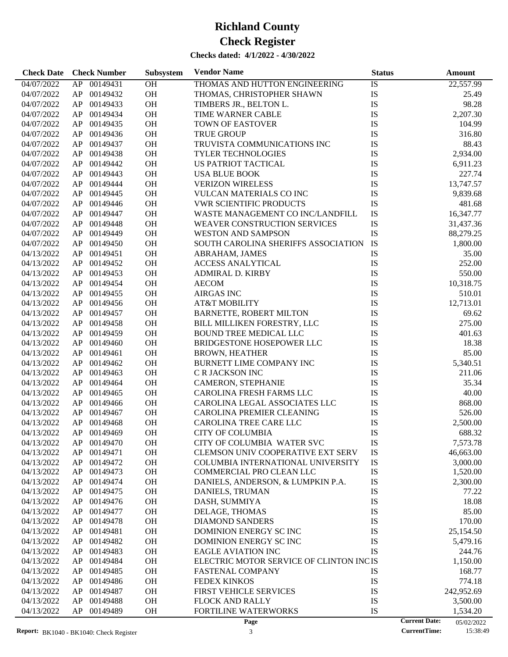| <b>Check Date</b>        | <b>Check Number</b>              | Subsystem | <b>Vendor Name</b>                                            | <b>Status</b> | <b>Amount</b>                      |
|--------------------------|----------------------------------|-----------|---------------------------------------------------------------|---------------|------------------------------------|
| 04/07/2022               | AP 00149431                      | OH        | THOMAS AND HUTTON ENGINEERING                                 | IS            | 22,557.99                          |
| 04/07/2022               | 00149432<br>AP                   | OH        | THOMAS, CHRISTOPHER SHAWN                                     | IS            | 25.49                              |
| 04/07/2022               | 00149433<br>AP                   | OH        | TIMBERS JR., BELTON L.                                        | IS            | 98.28                              |
| 04/07/2022               | 00149434<br>AP                   | OH        | TIME WARNER CABLE                                             | IS            | 2,207.30                           |
| 04/07/2022               | AP<br>00149435                   | OH        | <b>TOWN OF EASTOVER</b>                                       | IS            | 104.99                             |
| 04/07/2022               | 00149436<br>AP                   | OH        | <b>TRUE GROUP</b>                                             | IS            | 316.80                             |
| 04/07/2022               | 00149437<br>AP                   | OH        | TRUVISTA COMMUNICATIONS INC                                   | IS            | 88.43                              |
| 04/07/2022               | 00149438<br>AP                   | OH        | <b>TYLER TECHNOLOGIES</b>                                     | IS            | 2,934.00                           |
| 04/07/2022               | 00149442<br>AP                   | OH        | US PATRIOT TACTICAL                                           | IS            | 6,911.23                           |
| 04/07/2022               | 00149443<br>AP                   | OH        | <b>USA BLUE BOOK</b>                                          | IS            | 227.74                             |
| 04/07/2022               | 00149444<br>AP                   | OH        | <b>VERIZON WIRELESS</b>                                       | IS            | 13,747.57                          |
| 04/07/2022               | AP<br>00149445                   | <b>OH</b> | VULCAN MATERIALS CO INC                                       | IS            | 9,839.68                           |
| 04/07/2022               | 00149446<br>AP                   | OH        | <b>VWR SCIENTIFIC PRODUCTS</b>                                | IS            | 481.68                             |
| 04/07/2022               | 00149447<br>AP                   | OH        | WASTE MANAGEMENT CO INC/LANDFILL                              | IS            | 16,347.77                          |
| 04/07/2022               | 00149448<br>AP                   | OH        | <b>WEAVER CONSTRUCTION SERVICES</b>                           | IS            | 31,437.36                          |
| 04/07/2022               | 00149449<br>AP                   | OH        | <b>WESTON AND SAMPSON</b>                                     | IS            | 88,279.25                          |
| 04/07/2022               | 00149450<br>AP                   | OH        | SOUTH CAROLINA SHERIFFS ASSOCIATION                           | IS            | 1,800.00                           |
| 04/13/2022               | 00149451<br>AP                   | OH        | ABRAHAM, JAMES                                                | IS            | 35.00                              |
| 04/13/2022               | AP<br>00149452                   | OH        | <b>ACCESS ANALYTICAL</b>                                      | IS            | 252.00                             |
| 04/13/2022               | 00149453<br>AP                   | OH        | <b>ADMIRAL D. KIRBY</b>                                       | IS            | 550.00                             |
| 04/13/2022               | 00149454<br>AP                   | OH        | <b>AECOM</b>                                                  | IS            | 10,318.75                          |
| 04/13/2022               | AP<br>00149455                   | OH        | <b>AIRGAS INC</b>                                             | IS            | 510.01                             |
| 04/13/2022               | AP<br>00149456                   | OH        | <b>AT&amp;T MOBILITY</b>                                      | IS            | 12,713.01                          |
| 04/13/2022               | 00149457<br>AP                   | OH        | BARNETTE, ROBERT MILTON                                       | IS            | 69.62                              |
| 04/13/2022               | 00149458<br>AP                   | OH        | BILL MILLIKEN FORESTRY, LLC                                   | IS            | 275.00                             |
| 04/13/2022               | 00149459<br>AP                   | OH        | <b>BOUND TREE MEDICAL LLC</b>                                 | IS            | 401.63                             |
| 04/13/2022               | 00149460<br>AP                   | OH        | BRIDGESTONE HOSEPOWER LLC                                     | IS            | 18.38                              |
| 04/13/2022               | 00149461<br>AP                   | OH        | <b>BROWN, HEATHER</b>                                         | IS            | 85.00                              |
| 04/13/2022               | 00149462<br>AP                   | OH        | <b>BURNETT LIME COMPANY INC</b>                               | IS            | 5,340.51                           |
| 04/13/2022               | 00149463<br>AP                   | OH        | C R JACKSON INC                                               | IS            | 211.06                             |
| 04/13/2022               | 00149464<br>AP                   | OH        | CAMERON, STEPHANIE                                            | IS            | 35.34                              |
| 04/13/2022               | 00149465<br>AP                   | OH        | CAROLINA FRESH FARMS LLC                                      | IS            | 40.00                              |
| 04/13/2022               | AP<br>00149466                   | <b>OH</b> | CAROLINA LEGAL ASSOCIATES LLC                                 | IS            | 868.00                             |
| 04/13/2022               | AP<br>00149467                   | <b>OH</b> | CAROLINA PREMIER CLEANING                                     | IS            | 526.00                             |
|                          | AP<br>00149468                   | <b>OH</b> | CAROLINA TREE CARE LLC                                        |               |                                    |
| 04/13/2022               | AP 00149469                      |           |                                                               | IS            | 2,500.00                           |
| 04/13/2022               | AP 00149470                      | <b>OH</b> | <b>CITY OF COLUMBIA</b>                                       | IS            | 688.32                             |
| 04/13/2022               |                                  | OH        | CITY OF COLUMBIA WATER SVC                                    | IS            | 7,573.78                           |
| 04/13/2022               | 00149471<br>AP                   | OH        | CLEMSON UNIV COOPERATIVE EXT SERV                             | IS            | 46,663.00                          |
| 04/13/2022<br>04/13/2022 | 00149472<br>AP<br>AP<br>00149473 | OH<br>OH  | COLUMBIA INTERNATIONAL UNIVERSITY<br>COMMERCIAL PRO CLEAN LLC | IS<br>IS      | 3,000.00                           |
|                          |                                  | OH        | DANIELS, ANDERSON, & LUMPKIN P.A.                             | IS            | 1,520.00<br>2,300.00               |
| 04/13/2022               | AP<br>00149474<br>AP             |           |                                                               |               | 77.22                              |
| 04/13/2022               | 00149475                         | OH        | DANIELS, TRUMAN                                               | IS            |                                    |
| 04/13/2022               | AP<br>00149476                   | OH        | DASH, SUMMIYA                                                 | IS            | 18.08                              |
| 04/13/2022               | AP<br>00149477                   | OH        | DELAGE, THOMAS                                                | IS            | 85.00                              |
| 04/13/2022               | AP<br>00149478                   | OH        | <b>DIAMOND SANDERS</b>                                        | IS            | 170.00                             |
| 04/13/2022               | AP<br>00149481                   | OH        | DOMINION ENERGY SC INC                                        | IS            | 25,154.50                          |
| 04/13/2022               | 00149482<br>AP                   | OH        | DOMINION ENERGY SC INC                                        | IS            | 5,479.16                           |
| 04/13/2022               | AP<br>00149483                   | OH        | <b>EAGLE AVIATION INC</b>                                     | IS            | 244.76                             |
| 04/13/2022               | AP<br>00149484                   | OH        | ELECTRIC MOTOR SERVICE OF CLINTON INCIS                       |               | 1,150.00                           |
| 04/13/2022               | 00149485<br>AP                   | OH        | <b>FASTENAL COMPANY</b>                                       | IS            | 168.77                             |
| 04/13/2022               | 00149486<br>AP                   | OH        | FEDEX KINKOS                                                  | IS            | 774.18                             |
| 04/13/2022               | AP<br>00149487                   | OH        | FIRST VEHICLE SERVICES                                        | IS            | 242,952.69                         |
| 04/13/2022               | AP<br>00149488                   | OH        | <b>FLOCK AND RALLY</b>                                        | IS            | 3,500.00                           |
| 04/13/2022               | AP<br>00149489                   | OH        | FORTILINE WATERWORKS                                          | IS            | 1,534.20                           |
|                          |                                  |           | Page                                                          |               | <b>Current Date:</b><br>05/02/2022 |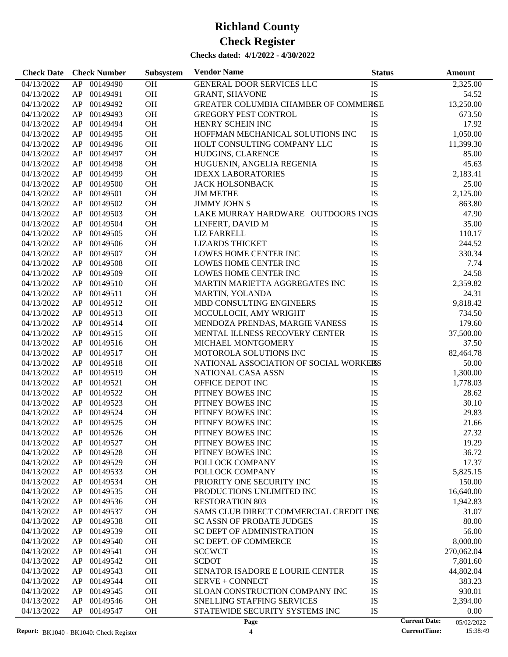| <b>Check Date</b> | <b>Check Number</b> | Subsystem | <b>Vendor Name</b>                     | <b>Status</b> | <b>Amount</b>                      |
|-------------------|---------------------|-----------|----------------------------------------|---------------|------------------------------------|
| 04/13/2022        | 00149490<br>AP      | OH        | GENERAL DOOR SERVICES LLC              | IS            | 2,325.00                           |
| 04/13/2022        | 00149491<br>AP      | <b>OH</b> | <b>GRANT, SHAVONE</b>                  | IS            | 54.52                              |
| 04/13/2022        | 00149492<br>AP      | <b>OH</b> | GREATER COLUMBIA CHAMBER OF COMMERSE   |               | 13,250.00                          |
| 04/13/2022        | 00149493<br>AP      | <b>OH</b> | <b>GREGORY PEST CONTROL</b>            | IS            | 673.50                             |
| 04/13/2022        | 00149494<br>AP      | OH        | HENRY SCHEIN INC                       | IS            | 17.92                              |
| 04/13/2022        | 00149495<br>AP      | <b>OH</b> | HOFFMAN MECHANICAL SOLUTIONS INC       | IS            | 1,050.00                           |
| 04/13/2022        | 00149496<br>AP      | <b>OH</b> | HOLT CONSULTING COMPANY LLC            | IS            | 11,399.30                          |
| 04/13/2022        | 00149497<br>AP      | <b>OH</b> | HUDGINS, CLARENCE                      | IS            | 85.00                              |
| 04/13/2022        | 00149498<br>AP      | <b>OH</b> | HUGUENIN, ANGELIA REGENIA              | IS            | 45.63                              |
| 04/13/2022        | 00149499<br>AP      | <b>OH</b> | <b>IDEXX LABORATORIES</b>              | IS            | 2,183.41                           |
| 04/13/2022        | AP<br>00149500      | <b>OH</b> | <b>JACK HOLSONBACK</b>                 | IS            | 25.00                              |
| 04/13/2022        | 00149501<br>AP      | <b>OH</b> | <b>JIM METHE</b>                       | IS            | 2,125.00                           |
| 04/13/2022        | 00149502<br>AP      | <b>OH</b> | <b>JIMMY JOHN S</b>                    | IS            | 863.80                             |
| 04/13/2022        | 00149503<br>AP      | <b>OH</b> | LAKE MURRAY HARDWARE OUTDOORS INGS     |               | 47.90                              |
| 04/13/2022        | 00149504<br>AP      | <b>OH</b> | LINFERT, DAVID M                       | <b>IS</b>     | 35.00                              |
| 04/13/2022        | 00149505<br>AP      | <b>OH</b> | <b>LIZ FARRELL</b>                     | IS            | 110.17                             |
| 04/13/2022        | 00149506<br>AP      | <b>OH</b> | <b>LIZARDS THICKET</b>                 | IS            | 244.52                             |
| 04/13/2022        | 00149507<br>AP      | <b>OH</b> | LOWES HOME CENTER INC                  | IS            | 330.34                             |
|                   | 00149508            | <b>OH</b> |                                        |               | 7.74                               |
| 04/13/2022        | AP                  |           | LOWES HOME CENTER INC                  | IS            |                                    |
| 04/13/2022        | 00149509<br>AP      | <b>OH</b> | LOWES HOME CENTER INC                  | IS            | 24.58                              |
| 04/13/2022        | 00149510<br>AP      | <b>OH</b> | MARTIN MARIETTA AGGREGATES INC         | IS            | 2,359.82                           |
| 04/13/2022        | 00149511<br>AP      | <b>OH</b> | MARTIN, YOLANDA                        | IS            | 24.31                              |
| 04/13/2022        | 00149512<br>AP      | <b>OH</b> | MBD CONSULTING ENGINEERS               | IS            | 9,818.42                           |
| 04/13/2022        | 00149513<br>AP      | <b>OH</b> | MCCULLOCH, AMY WRIGHT                  | IS            | 734.50                             |
| 04/13/2022        | 00149514<br>AP      | <b>OH</b> | MENDOZA PRENDAS, MARGIE VANESS         | IS            | 179.60                             |
| 04/13/2022        | AP<br>00149515      | <b>OH</b> | MENTAL ILLNESS RECOVERY CENTER         | IS            | 37,500.00                          |
| 04/13/2022        | 00149516<br>AP      | <b>OH</b> | MICHAEL MONTGOMERY                     | IS            | 37.50                              |
| 04/13/2022        | 00149517<br>AP      | <b>OH</b> | MOTOROLA SOLUTIONS INC                 | IS            | 82,464.78                          |
| 04/13/2022        | 00149518<br>AP      | <b>OH</b> | NATIONAL ASSOCIATION OF SOCIAL WORKERS |               | 50.00                              |
| 04/13/2022        | 00149519<br>AP      | <b>OH</b> | NATIONAL CASA ASSN                     | IS            | 1,300.00                           |
| 04/13/2022        | 00149521<br>AP      | <b>OH</b> | OFFICE DEPOT INC                       | IS            | 1,778.03                           |
| 04/13/2022        | 00149522<br>AP      | <b>OH</b> | PITNEY BOWES INC                       | IS            | 28.62                              |
| 04/13/2022        | 00149523<br>AP      | <b>OH</b> | PITNEY BOWES INC                       | IS            | 30.10                              |
| 04/13/2022        | AP<br>00149524      | <b>OH</b> | PITNEY BOWES INC                       | IS            | 29.83                              |
| 04/13/2022        | AP<br>00149525      | <b>OH</b> | PITNEY BOWES INC                       | IS            | 21.66                              |
| 04/13/2022        | AP 00149526         | OH        | PITNEY BOWES INC                       | IS            | 27.32                              |
| 04/13/2022        | AP<br>00149527      | <b>OH</b> | PITNEY BOWES INC                       | IS            | 19.29                              |
| 04/13/2022        | 00149528<br>AP      | <b>OH</b> | PITNEY BOWES INC                       | IS            | 36.72                              |
| 04/13/2022        | 00149529<br>AP      | <b>OH</b> | POLLOCK COMPANY                        | IS            | 17.37                              |
| 04/13/2022        | 00149533<br>AP      | OH        | POLLOCK COMPANY                        | IS            | 5,825.15                           |
| 04/13/2022        | 00149534<br>AP      | OH        | PRIORITY ONE SECURITY INC              | IS            | 150.00                             |
| 04/13/2022        | 00149535<br>AP      | OH        | PRODUCTIONS UNLIMITED INC              | IS            | 16,640.00                          |
| 04/13/2022        | 00149536<br>AP      | OH        | <b>RESTORATION 803</b>                 | <b>IS</b>     | 1,942.83                           |
| 04/13/2022        | 00149537<br>AP      | OH        | SAMS CLUB DIRECT COMMERCIAL CREDIT INS |               | 31.07                              |
| 04/13/2022        | 00149538<br>AP      | OH        | <b>SC ASSN OF PROBATE JUDGES</b>       | IS            | 80.00                              |
| 04/13/2022        | 00149539<br>AP      | OH        | SC DEPT OF ADMINISTRATION              | IS            | 56.00                              |
| 04/13/2022        | 00149540<br>AP      | OH        | <b>SC DEPT. OF COMMERCE</b>            | IS            | 8,000.00                           |
| 04/13/2022        | 00149541<br>AP      | OH        | <b>SCCWCT</b>                          | IS            | 270,062.04                         |
| 04/13/2022        | 00149542<br>AP      | OH        | <b>SCDOT</b>                           | IS            | 7,801.60                           |
| 04/13/2022        | 00149543<br>AP      | OH        | <b>SENATOR ISADORE E LOURIE CENTER</b> | IS            | 44,802.04                          |
| 04/13/2022        | 00149544<br>AP      | OH        | SERVE + CONNECT                        | IS            | 383.23                             |
| 04/13/2022        | 00149545<br>AP      | OH        | SLOAN CONSTRUCTION COMPANY INC         | IS            | 930.01                             |
| 04/13/2022        | 00149546<br>AP      | OH        | SNELLING STAFFING SERVICES             | IS            | 2,394.00                           |
| 04/13/2022        | AP<br>00149547      | OH        | STATEWIDE SECURITY SYSTEMS INC         | IS            | 0.00                               |
|                   |                     |           | Page                                   |               | <b>Current Date:</b><br>05/02/2022 |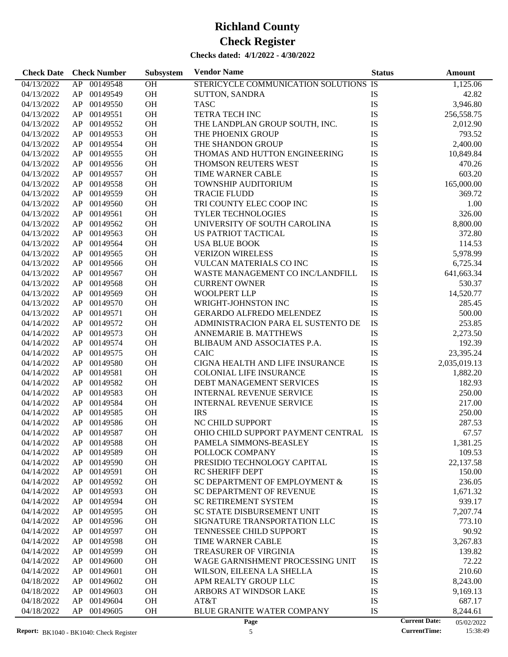| <b>Check Date</b> | <b>Check Number</b> | Subsystem | <b>Vendor Name</b>                    | <b>Status</b> | <b>Amount</b>                      |
|-------------------|---------------------|-----------|---------------------------------------|---------------|------------------------------------|
| 04/13/2022        | AP 00149548         | OH        | STERICYCLE COMMUNICATION SOLUTIONS IS |               | 1,125.06                           |
| 04/13/2022        | AP 00149549         | OH        | <b>SUTTON, SANDRA</b>                 | IS            | 42.82                              |
| 04/13/2022        | AP 00149550         | OH        | <b>TASC</b>                           | IS            | 3,946.80                           |
| 04/13/2022        | AP 00149551         | <b>OH</b> | <b>TETRA TECH INC</b>                 | IS            | 256,558.75                         |
| 04/13/2022        | AP 00149552         | <b>OH</b> | THE LANDPLAN GROUP SOUTH, INC.        | IS            | 2,012.90                           |
| 04/13/2022        | AP 00149553         | OH        | THE PHOENIX GROUP                     | IS            | 793.52                             |
| 04/13/2022        | AP 00149554         | OH        | THE SHANDON GROUP                     | IS            | 2,400.00                           |
| 04/13/2022        | AP 00149555         | <b>OH</b> | THOMAS AND HUTTON ENGINEERING         | IS            | 10,849.84                          |
| 04/13/2022        | AP 00149556         | <b>OH</b> | THOMSON REUTERS WEST                  | IS            | 470.26                             |
| 04/13/2022        | AP 00149557         | <b>OH</b> | TIME WARNER CABLE                     | IS            | 603.20                             |
| 04/13/2022        | AP 00149558         | <b>OH</b> | TOWNSHIP AUDITORIUM                   | IS            | 165,000.00                         |
| 04/13/2022        | AP 00149559         | <b>OH</b> | <b>TRACIE FLUDD</b>                   | IS            | 369.72                             |
| 04/13/2022        | AP 00149560         | <b>OH</b> | TRI COUNTY ELEC COOP INC              | IS            | 1.00                               |
| 04/13/2022        | AP 00149561         | OH        | TYLER TECHNOLOGIES                    | IS            | 326.00                             |
| 04/13/2022        | AP 00149562         | <b>OH</b> | UNIVERSITY OF SOUTH CAROLINA          | IS            | 8,800.00                           |
| 04/13/2022        | AP 00149563         | <b>OH</b> | <b>US PATRIOT TACTICAL</b>            | IS            | 372.80                             |
| 04/13/2022        | AP 00149564         | OH        | <b>USA BLUE BOOK</b>                  | IS            | 114.53                             |
| 04/13/2022        | AP 00149565         | <b>OH</b> | <b>VERIZON WIRELESS</b>               | IS            | 5,978.99                           |
| 04/13/2022        | AP 00149566         | <b>OH</b> | <b>VULCAN MATERIALS CO INC</b>        | IS            | 6,725.34                           |
| 04/13/2022        | AP 00149567         | <b>OH</b> | WASTE MANAGEMENT CO INC/LANDFILL      | IS            | 641,663.34                         |
| 04/13/2022        | AP 00149568         | <b>OH</b> | <b>CURRENT OWNER</b>                  | IS            | 530.37                             |
| 04/13/2022        | AP 00149569         | <b>OH</b> | <b>WOOLPERT LLP</b>                   | IS            | 14,520.77                          |
| 04/13/2022        | AP 00149570         | <b>OH</b> | WRIGHT-JOHNSTON INC                   | IS            | 285.45                             |
| 04/13/2022        | AP 00149571         | <b>OH</b> | GERARDO ALFREDO MELENDEZ              | IS            | 500.00                             |
| 04/14/2022        | AP 00149572         | <b>OH</b> | ADMINISTRACION PARA EL SUSTENTO DE    | IS            | 253.85                             |
| 04/14/2022        | AP 00149573         | <b>OH</b> | ANNEMARIE B. MATTHEWS                 | IS            | 2,273.50                           |
| 04/14/2022        | AP 00149574         | <b>OH</b> | BLIBAUM AND ASSOCIATES P.A.           | IS            | 192.39                             |
| 04/14/2022        | AP 00149575         | <b>OH</b> | <b>CAIC</b>                           | IS            | 23,395.24                          |
| 04/14/2022        | 00149580<br>AP      | <b>OH</b> | CIGNA HEALTH AND LIFE INSURANCE       | IS            | 2,035,019.13                       |
| 04/14/2022        | AP 00149581         | <b>OH</b> | <b>COLONIAL LIFE INSURANCE</b>        | IS            | 1,882.20                           |
| 04/14/2022        | 00149582<br>AP      | <b>OH</b> | DEBT MANAGEMENT SERVICES              | IS            | 182.93                             |
| 04/14/2022        | 00149583<br>AP      | <b>OH</b> | <b>INTERNAL REVENUE SERVICE</b>       | IS            | 250.00                             |
| 04/14/2022        | 00149584<br>AP      | <b>OH</b> | <b>INTERNAL REVENUE SERVICE</b>       | IS            | 217.00                             |
| 04/14/2022        | 00149585<br>AP      | <b>OH</b> | <b>IRS</b>                            | IS            | 250.00                             |
| 04/14/2022        | 00149586<br>AP      | OH        | NC CHILD SUPPORT                      | IS            | 287.53                             |
| 04/14/2022        | AP 00149587         | <b>OH</b> | OHIO CHILD SUPPORT PAYMENT CENTRAL    | IS            | 67.57                              |
| 04/14/2022        | AP 00149588         | OH        | PAMELA SIMMONS-BEASLEY                | IS            | 1,381.25                           |
| 04/14/2022        | 00149589<br>AP      | OH        | POLLOCK COMPANY                       | IS            | 109.53                             |
| 04/14/2022        | AP<br>00149590      | OH        | PRESIDIO TECHNOLOGY CAPITAL           | IS            | 22,137.58                          |
| 04/14/2022        | 00149591<br>AP      | <b>OH</b> | <b>RC SHERIFF DEPT</b>                | IS            | 150.00                             |
| 04/14/2022        | 00149592<br>AP      | OH        | SC DEPARTMENT OF EMPLOYMENT &         | IS            | 236.05                             |
| 04/14/2022        | 00149593<br>AP      | OH        | <b>SC DEPARTMENT OF REVENUE</b>       | IS            | 1,671.32                           |
| 04/14/2022        | AP<br>00149594      | OH        | <b>SC RETIREMENT SYSTEM</b>           | IS            | 939.17                             |
| 04/14/2022        | AP<br>00149595      | OH        | SC STATE DISBURSEMENT UNIT            | IS            | 7,207.74                           |
| 04/14/2022        | 00149596<br>AP      | OH        | SIGNATURE TRANSPORTATION LLC          | IS            | 773.10                             |
| 04/14/2022        | 00149597<br>AP      | OH        | <b>TENNESSEE CHILD SUPPORT</b>        | IS            | 90.92                              |
| 04/14/2022        | 00149598<br>AP      | OH        | TIME WARNER CABLE                     | IS            | 3,267.83                           |
| 04/14/2022        | AP<br>00149599      | OH        | <b>TREASURER OF VIRGINIA</b>          | IS            | 139.82                             |
| 04/14/2022        | AP<br>00149600      | OH        | WAGE GARNISHMENT PROCESSING UNIT      | IS            | 72.22                              |
| 04/14/2022        | AP<br>00149601      | OH        | WILSON, EILEENA LA SHELLA             | IS            | 210.60                             |
| 04/18/2022        | AP<br>00149602      | OH        | APM REALTY GROUP LLC                  | IS            | 8,243.00                           |
| 04/18/2022        | AP<br>00149603      | OH        | ARBORS AT WINDSOR LAKE                | IS            | 9,169.13                           |
| 04/18/2022        | AP<br>00149604      | OH        | AT&T                                  | IS            | 687.17                             |
| 04/18/2022        | AP<br>00149605      | <b>OH</b> | <b>BLUE GRANITE WATER COMPANY</b>     | IS            | 8,244.61                           |
|                   |                     |           | Page                                  |               | <b>Current Date:</b><br>05/02/2022 |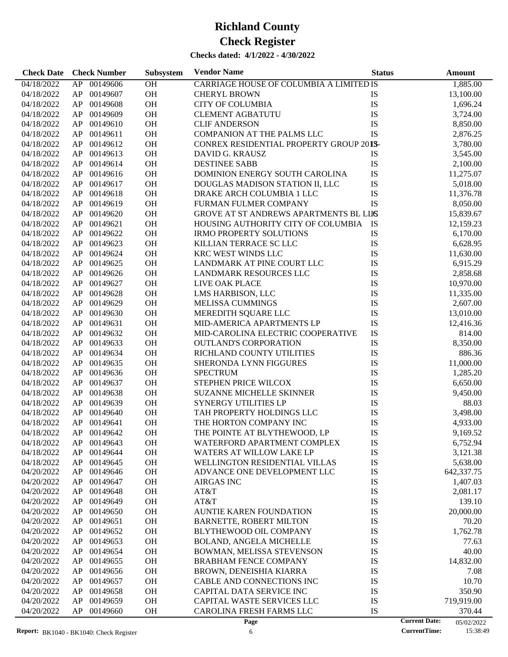| <b>Check Date</b>        | <b>Check Number</b>              | Subsystem       | <b>Vendor Name</b>                                           | <b>Status</b> | Amount                             |
|--------------------------|----------------------------------|-----------------|--------------------------------------------------------------|---------------|------------------------------------|
| 04/18/2022               | AP<br>00149606                   | OH              | CARRIAGE HOUSE OF COLUMBIA A LIMITED IS                      |               | 1,885.00                           |
| 04/18/2022               | AP<br>00149607                   | OH              | <b>CHERYL BROWN</b>                                          | IS            | 13,100.00                          |
| 04/18/2022               | AP<br>00149608                   | OH              | <b>CITY OF COLUMBIA</b>                                      | IS            | 1,696.24                           |
| 04/18/2022               | AP<br>00149609                   | OH              | <b>CLEMENT AGBATUTU</b>                                      | IS            | 3,724.00                           |
| 04/18/2022               | AP<br>00149610                   | OH              | <b>CLIF ANDERSON</b>                                         | IS            | 8,850.00                           |
| 04/18/2022               | 00149611<br>AP                   | OH              | COMPANION AT THE PALMS LLC                                   | IS            | 2,876.25                           |
| 04/18/2022               | AP<br>00149612                   | OH              | CONREX RESIDENTIAL PROPERTY GROUP 201S-                      |               | 3,780.00                           |
| 04/18/2022               | AP<br>00149613                   | OH              | DAVID G. KRAUSZ                                              | IS            | 3,545.00                           |
| 04/18/2022               | AP<br>00149614                   | OH              | <b>DESTINEE SABB</b>                                         | IS            | 2,100.00                           |
|                          | AP<br>00149616                   | OH              |                                                              |               |                                    |
| 04/18/2022               |                                  |                 | DOMINION ENERGY SOUTH CAROLINA                               | IS            | 11,275.07                          |
| 04/18/2022               | 00149617<br>AP                   | OH              | DOUGLAS MADISON STATION II, LLC                              | IS            | 5,018.00                           |
| 04/18/2022               | AP<br>00149618                   | OH              | DRAKE ARCH COLUMBIA 1 LLC                                    | IS            | 11,376.78                          |
| 04/18/2022               | AP<br>00149619                   | OH              | FURMAN FULMER COMPANY                                        | IS            | 8,050.00                           |
| 04/18/2022               | AP<br>00149620                   | OH              | GROVE AT ST ANDREWS APARTMENTS BL LIIS                       |               | 15,839.67                          |
| 04/18/2022               | 00149621<br>AP                   | OH              | HOUSING AUTHORITY CITY OF COLUMBIA                           | IS            | 12,159.23                          |
| 04/18/2022               | AP<br>00149622                   | OH              | <b>IRMO PROPERTY SOLUTIONS</b>                               | IS            | 6,170.00                           |
| 04/18/2022               | AP<br>00149623                   | OH              | KILLIAN TERRACE SC LLC                                       | IS            | 6,628.95                           |
| 04/18/2022               | AP<br>00149624                   | OH              | KRC WEST WINDS LLC                                           | IS            | 11,630.00                          |
| 04/18/2022               | AP<br>00149625                   | OH              | LANDMARK AT PINE COURT LLC                                   | IS            | 6,915.29                           |
| 04/18/2022               | AP<br>00149626                   | OH              | LANDMARK RESOURCES LLC                                       | IS            | 2,858.68                           |
| 04/18/2022               | AP<br>00149627                   | OH              | LIVE OAK PLACE                                               | IS            | 10,970.00                          |
| 04/18/2022               | AP<br>00149628                   | OH              | LMS HARBISON, LLC                                            | IS            | 11,335.00                          |
| 04/18/2022               | AP<br>00149629                   | OH              | MELISSA CUMMINGS                                             | IS            | 2,607.00                           |
| 04/18/2022               | AP<br>00149630                   | OH              | MEREDITH SQUARE LLC                                          | IS            | 13,010.00                          |
| 04/18/2022               | AP<br>00149631                   | OH              | MID-AMERICA APARTMENTS LP                                    | ${\rm IS}$    | 12,416.36                          |
| 04/18/2022               | AP<br>00149632                   | OH              | MID-CAROLINA ELECTRIC COOPERATIVE                            | IS            | 814.00                             |
| 04/18/2022               | AP<br>00149633                   | OH              | <b>OUTLAND'S CORPORATION</b>                                 | IS            | 8,350.00                           |
| 04/18/2022               | AP<br>00149634                   | OH              | RICHLAND COUNTY UTILITIES                                    | IS            | 886.36                             |
| 04/18/2022               | AP<br>00149635                   | OH              | SHERONDA LYNN FIGGURES                                       | IS            | 11,000.00                          |
| 04/18/2022               | AP<br>00149636                   | OH              | <b>SPECTRUM</b>                                              | IS            | 1,285.20                           |
| 04/18/2022               | AP<br>00149637                   | OH              | STEPHEN PRICE WILCOX                                         | IS            | 6,650.00                           |
| 04/18/2022               | AP<br>00149638                   | OH              | <b>SUZANNE MICHELLE SKINNER</b>                              | IS            | 9,450.00                           |
| 04/18/2022               | 00149639<br>AP                   | OH              | <b>SYNERGY UTILITIES LP</b>                                  | IS            | 88.03                              |
| 04/18/2022               | AP<br>00149640                   | OH              | TAH PROPERTY HOLDINGS LLC                                    | IS            | 3,498.00                           |
| 04/18/2022               | AP<br>00149641                   | OH              | THE HORTON COMPANY INC                                       | IS            | 4,933.00                           |
| 04/18/2022               | AP<br>00149642                   | <b>OH</b>       | THE POINTE AT BLYTHEWOOD, LP                                 | IS            | 9,169.52                           |
| 04/18/2022               | AP<br>00149643                   | OH              | WATERFORD APARTMENT COMPLEX                                  | IS            |                                    |
|                          | 00149644                         |                 | WATERS AT WILLOW LAKE LP                                     |               | 6,752.94                           |
| 04/18/2022               | AP                               | OH              |                                                              | IS            | 3,121.38                           |
| 04/18/2022<br>04/20/2022 | 00149645<br>AP<br>AP<br>00149646 | OH<br><b>OH</b> | WELLINGTON RESIDENTIAL VILLAS<br>ADVANCE ONE DEVELOPMENT LLC | IS<br>IS      | 5,638.00<br>642,337.75             |
| 04/20/2022               | AP<br>00149647                   | OH              | <b>AIRGAS INC</b>                                            | IS            | 1,407.03                           |
|                          |                                  |                 |                                                              |               |                                    |
| 04/20/2022               | AP<br>00149648                   | <b>OH</b>       | AT&T                                                         | IS            | 2,081.17                           |
| 04/20/2022               | AP<br>00149649                   | <b>OH</b>       | AT&T                                                         | IS            | 139.10                             |
| 04/20/2022               | AP<br>00149650                   | <b>OH</b>       | <b>AUNTIE KAREN FOUNDATION</b>                               | IS            | 20,000.00                          |
| 04/20/2022               | AP<br>00149651                   | <b>OH</b>       | <b>BARNETTE, ROBERT MILTON</b>                               | IS            | 70.20                              |
| 04/20/2022               | AP<br>00149652                   | <b>OH</b>       | BLYTHEWOOD OIL COMPANY                                       | IS            | 1,762.78                           |
| 04/20/2022               | AP<br>00149653                   | <b>OH</b>       | <b>BOLAND, ANGELA MICHELLE</b>                               | IS            | 77.63                              |
| 04/20/2022               | AP<br>00149654                   | <b>OH</b>       | BOWMAN, MELISSA STEVENSON                                    | IS            | 40.00                              |
| 04/20/2022               | AP<br>00149655                   | <b>OH</b>       | <b>BRABHAM FENCE COMPANY</b>                                 | IS            | 14,832.00                          |
| 04/20/2022               | AP<br>00149656                   | <b>OH</b>       | BROWN, DENEISHIA KIARRA                                      | IS            | 7.08                               |
| 04/20/2022               | AP<br>00149657                   | <b>OH</b>       | CABLE AND CONNECTIONS INC                                    | IS            | 10.70                              |
| 04/20/2022               | AP<br>00149658                   | <b>OH</b>       | CAPITAL DATA SERVICE INC                                     | IS            | 350.90                             |
| 04/20/2022               | AP<br>00149659                   | <b>OH</b>       | CAPITAL WASTE SERVICES LLC                                   | IS            | 719,919.00                         |
| 04/20/2022               | AP<br>00149660                   | <b>OH</b>       | CAROLINA FRESH FARMS LLC                                     | IS            | 370.44                             |
|                          |                                  |                 | Page                                                         |               | <b>Current Date:</b><br>05/02/2022 |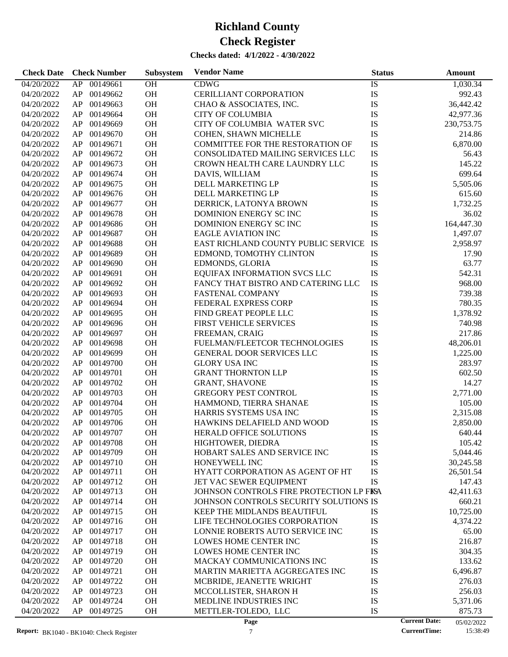| <b>Check Date</b>        | <b>Check Number</b>        | Subsystem | <b>Vendor Name</b>                                | <b>Status</b>        | Amount                 |
|--------------------------|----------------------------|-----------|---------------------------------------------------|----------------------|------------------------|
| 04/20/2022               | 00149661<br>AP             | <b>OH</b> | <b>CDWG</b>                                       | IS                   | 1,030.34               |
| 04/20/2022               | 00149662<br>AP             | OH        | CERILLIANT CORPORATION                            | IS                   | 992.43                 |
| 04/20/2022               | 00149663<br>AP             | <b>OH</b> | CHAO & ASSOCIATES, INC.                           | IS                   | 36,442.42              |
| 04/20/2022               | 00149664<br>AP             | <b>OH</b> | <b>CITY OF COLUMBIA</b>                           | IS                   | 42,977.36              |
| 04/20/2022               | 00149669<br>AP             | OH        | CITY OF COLUMBIA WATER SVC                        | IS                   | 230,753.75             |
| 04/20/2022               | 00149670<br>AP             | OH        | COHEN, SHAWN MICHELLE                             | IS                   | 214.86                 |
| 04/20/2022               | 00149671<br>AP             | <b>OH</b> | <b>COMMITTEE FOR THE RESTORATION OF</b>           | IS                   | 6,870.00               |
| 04/20/2022               | 00149672<br>AP             | <b>OH</b> | CONSOLIDATED MAILING SERVICES LLC                 | IS                   | 56.43                  |
| 04/20/2022               | 00149673<br>AP             | OH        | CROWN HEALTH CARE LAUNDRY LLC                     | IS                   | 145.22                 |
| 04/20/2022               | 00149674<br>AP             | OH        | DAVIS, WILLIAM                                    | IS                   | 699.64                 |
| 04/20/2022               | 00149675<br>AP             | <b>OH</b> | DELL MARKETING LP                                 | IS                   | 5,505.06               |
| 04/20/2022               | 00149676<br>AP             | <b>OH</b> | DELL MARKETING LP                                 | IS                   | 615.60                 |
| 04/20/2022               | 00149677<br>AP             | OH        | DERRICK, LATONYA BROWN                            | IS                   | 1,732.25               |
| 04/20/2022               | 00149678<br>AP             | OH        | DOMINION ENERGY SC INC                            | IS                   | 36.02                  |
| 04/20/2022               | 00149686<br>AP             | <b>OH</b> | DOMINION ENERGY SCINC                             | IS                   | 164,447.30             |
| 04/20/2022               | 00149687<br>AP             | <b>OH</b> | <b>EAGLE AVIATION INC</b>                         | IS                   | 1,497.07               |
| 04/20/2022               | 00149688<br>AP             | OH        | EAST RICHLAND COUNTY PUBLIC SERVICE               | IS                   | 2,958.97               |
| 04/20/2022               | 00149689<br>AP             | OH        | EDMOND, TOMOTHY CLINTON                           | IS                   | 17.90                  |
| 04/20/2022               | 00149690<br>AP             | <b>OH</b> | EDMONDS, GLORIA                                   | IS                   | 63.77                  |
| 04/20/2022               | 00149691<br>AP             | <b>OH</b> | EQUIFAX INFORMATION SVCS LLC                      | IS                   | 542.31                 |
| 04/20/2022               | 00149692<br>AP             | OH        | FANCY THAT BISTRO AND CATERING LLC                | IS                   | 968.00                 |
| 04/20/2022               | 00149693<br>AP             | <b>OH</b> | <b>FASTENAL COMPANY</b>                           | IS                   | 739.38                 |
| 04/20/2022               | 00149694<br>AP             | <b>OH</b> | FEDERAL EXPRESS CORP                              | IS                   | 780.35                 |
| 04/20/2022               | 00149695<br>AP             | <b>OH</b> | FIND GREAT PEOPLE LLC                             | IS                   | 1,378.92               |
| 04/20/2022               | 00149696<br>AP             | OH        | <b>FIRST VEHICLE SERVICES</b>                     | IS                   | 740.98                 |
| 04/20/2022               | 00149697<br>AP             | OH        | FREEMAN, CRAIG                                    | IS                   | 217.86                 |
| 04/20/2022               | 00149698<br>AP             | <b>OH</b> | FUELMAN/FLEETCOR TECHNOLOGIES                     | IS                   | 48,206.01              |
| 04/20/2022               | 00149699<br>AP             | <b>OH</b> | GENERAL DOOR SERVICES LLC                         | IS                   | 1,225.00               |
| 04/20/2022               | 00149700<br>AP             | OH        | <b>GLORY USA INC</b>                              | IS                   | 283.97                 |
| 04/20/2022               | 00149701<br>AP             | <b>OH</b> | <b>GRANT THORNTON LLP</b>                         | IS                   | 602.50                 |
| 04/20/2022               | 00149702<br>AP             | <b>OH</b> | <b>GRANT, SHAVONE</b>                             | IS                   | 14.27                  |
| 04/20/2022               | 00149703<br>AP             | <b>OH</b> | <b>GREGORY PEST CONTROL</b>                       | IS                   | 2,771.00               |
| 04/20/2022               | 00149704<br>AP             | <b>OH</b> | HAMMOND, TIERRA SHANAE                            | IS                   | 105.00                 |
| 04/20/2022               | 00149705<br>AP             | <b>OH</b> | HARRIS SYSTEMS USA INC                            | IS                   | 2,315.08               |
| 04/20/2022               | 00149706<br>AP             | <b>OH</b> | HAWKINS DELAFIELD AND WOOD                        | IS                   | 2,850.00               |
|                          |                            | OH        | <b>HERALD OFFICE SOLUTIONS</b>                    | IS                   |                        |
| 04/20/2022               | AP<br>00149707             |           |                                                   |                      | 640.44                 |
| 04/20/2022               | AP<br>00149708             | <b>OH</b> | HIGHTOWER, DIEDRA                                 | IS                   | 105.42                 |
| 04/20/2022               | 00149709<br>AP<br>00149710 | OH        | HOBART SALES AND SERVICE INC                      | IS                   | 5,044.46               |
| 04/20/2022<br>04/20/2022 | AP<br>AP<br>00149711       | OH<br>OH  | HONEYWELL INC<br>HYATT CORPORATION AS AGENT OF HT | IS<br>IS             | 30,245.58<br>26,501.54 |
| 04/20/2022               | 00149712<br>AP             | OH        | JET VAC SEWER EQUIPMENT                           | IS                   | 147.43                 |
| 04/20/2022               | 00149713<br>AP             | OH        | JOHNSON CONTROLS FIRE PROTECTION LP FISA          |                      |                        |
| 04/20/2022               | 00149714<br>AP             | OH        | JOHNSON CONTROLS SECURITY SOLUTIONS IS            |                      | 42,411.63<br>660.21    |
| 04/20/2022               | AP<br>00149715             | OH        |                                                   |                      | 10,725.00              |
|                          |                            |           | KEEP THE MIDLANDS BEAUTIFUL                       | IS                   |                        |
| 04/20/2022               | 00149716<br>AP             | OH        | LIFE TECHNOLOGIES CORPORATION                     | IS                   | 4,374.22               |
| 04/20/2022               | 00149717<br>AP             | OH        | LONNIE ROBERTS AUTO SERVICE INC                   | IS                   | 65.00                  |
| 04/20/2022               | 00149718<br>AP             | OH        | LOWES HOME CENTER INC                             | IS                   | 216.87                 |
| 04/20/2022               | AP<br>00149719             | OH        | LOWES HOME CENTER INC                             | IS                   | 304.35                 |
| 04/20/2022               | 00149720<br>AP             | OH        | MACKAY COMMUNICATIONS INC                         | IS                   | 133.62                 |
| 04/20/2022               | 00149721<br>AP             | OH        | MARTIN MARIETTA AGGREGATES INC                    | IS                   | 6,496.87               |
| 04/20/2022               | 00149722<br>AP             | OH        | MCBRIDE, JEANETTE WRIGHT                          | IS                   | 276.03                 |
| 04/20/2022               | AP<br>00149723             | OH        | MCCOLLISTER, SHARON H                             | IS                   | 256.03                 |
| 04/20/2022               | AP<br>00149724             | OH        | MEDLINE INDUSTRIES INC                            | IS                   | 5,371.06               |
| 04/20/2022               | AP<br>00149725             | OH        | METTLER-TOLEDO, LLC                               | IS                   | 875.73                 |
|                          |                            |           | Page                                              | <b>Current Date:</b> | 05/02/2022             |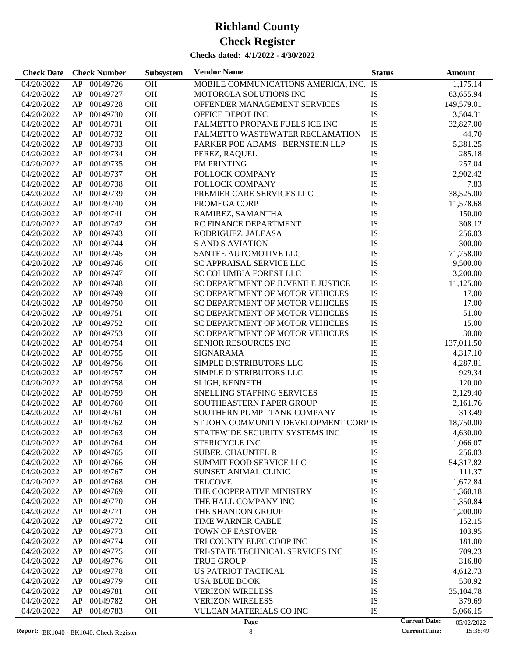| 1,175.14<br>04/20/2022<br>00149726<br><b>OH</b><br>MOBILE COMMUNICATIONS AMERICA, INC. IS<br>AP<br>OH<br>00149727<br>IS<br>04/20/2022<br>AP<br>MOTOROLA SOLUTIONS INC<br>63,655.94<br>IS<br>00149728<br><b>OH</b><br>04/20/2022<br>AP<br>OFFENDER MANAGEMENT SERVICES<br>149,579.01<br>IS<br>00149730<br><b>OH</b><br>04/20/2022<br>AP<br>OFFICE DEPOT INC<br>3,504.31<br>OH<br>IS<br>00149731<br>PALMETTO PROPANE FUELS ICE INC<br>04/20/2022<br>AP<br>32,827.00<br>OH<br>IS<br>00149732<br>44.70<br>04/20/2022<br>AP<br>PALMETTO WASTEWATER RECLAMATION<br>IS<br>00149733<br><b>OH</b><br>04/20/2022<br>AP<br>PARKER POE ADAMS BERNSTEIN LLP<br>5,381.25<br>IS<br>00149734<br><b>OH</b><br>04/20/2022<br>AP<br>PEREZ, RAQUEL<br>285.18<br>OH<br>IS<br>00149735<br>257.04<br>04/20/2022<br>AP<br>PM PRINTING<br>OH<br>IS<br>00149737<br>POLLOCK COMPANY<br>2,902.42<br>04/20/2022<br>AP<br>00149738<br><b>OH</b><br>IS<br>7.83<br>04/20/2022<br>AP<br>POLLOCK COMPANY<br>IS<br>00149739<br><b>OH</b><br>04/20/2022<br>AP<br>PREMIER CARE SERVICES LLC<br>38,525.00<br>OH<br>IS<br>00149740<br>04/20/2022<br>AP<br>PROMEGA CORP<br>11,578.68<br>OH<br>IS<br>00149741<br>04/20/2022<br>AP<br>RAMIREZ, SAMANTHA<br>150.00<br>IS<br>00149742<br><b>OH</b><br>04/20/2022<br>AP<br>RC FINANCE DEPARTMENT<br>308.12<br>IS<br>00149743<br><b>OH</b><br>04/20/2022<br>AP<br>RODRIGUEZ, JALEASA<br>256.03<br>OH<br>IS<br>00149744<br>04/20/2022<br>AP<br><b>S AND S AVIATION</b><br>300.00<br>IS<br>00149745<br><b>OH</b><br>71,758.00<br>04/20/2022<br>AP<br>SANTEE AUTOMOTIVE LLC<br>IS<br>00149746<br><b>OH</b><br>04/20/2022<br>AP<br>SC APPRAISAL SERVICE LLC<br>9,500.00<br>IS<br>00149747<br><b>OH</b><br>04/20/2022<br>AP<br><b>SC COLUMBIA FOREST LLC</b><br>3,200.00<br>OH<br>IS<br>00149748<br>04/20/2022<br>AP<br>SC DEPARTMENT OF JUVENILE JUSTICE<br>11,125.00<br>OH<br>IS<br>00149749<br>04/20/2022<br>AP<br>SC DEPARTMENT OF MOTOR VEHICLES<br>17.00<br>00149750<br><b>OH</b><br>IS<br>17.00<br>04/20/2022<br>AP<br>SC DEPARTMENT OF MOTOR VEHICLES<br>OH<br>00149751<br>IS<br>51.00<br>04/20/2022<br>AP<br>SC DEPARTMENT OF MOTOR VEHICLES<br>OH<br>IS<br>00149752<br>15.00<br>04/20/2022<br>AP<br>SC DEPARTMENT OF MOTOR VEHICLES<br>IS<br>00149753<br><b>OH</b><br>30.00<br>04/20/2022<br>AP<br>SC DEPARTMENT OF MOTOR VEHICLES<br>IS<br>00149754<br><b>OH</b><br>04/20/2022<br>AP<br><b>SENIOR RESOURCES INC</b><br>137,011.50<br>IS<br>00149755<br><b>OH</b><br>04/20/2022<br>AP<br><b>SIGNARAMA</b><br>4,317.10<br>OH<br>IS<br>00149756<br>SIMPLE DISTRIBUTORS LLC<br>04/20/2022<br>AP<br>4,287.81<br>IS<br>00149757<br><b>OH</b><br>04/20/2022<br>AP<br>SIMPLE DISTRIBUTORS LLC<br>929.34<br>00149758<br><b>OH</b><br>IS<br>04/20/2022<br>AP<br>SLIGH, KENNETH<br>120.00<br>IS<br>00149759<br><b>OH</b><br>SNELLING STAFFING SERVICES<br>04/20/2022<br>AP<br>2,129.40<br>OH<br>IS<br>00149760<br>04/20/2022<br>AP<br>SOUTHEASTERN PAPER GROUP<br>2,161.76<br>IS<br>00149761<br><b>OH</b><br>04/20/2022<br>AP<br>SOUTHERN PUMP TANK COMPANY<br>313.49<br>00149762<br><b>OH</b><br>ST JOHN COMMUNITY DEVELOPMENT CORP IS<br>04/20/2022<br>AP<br>18,750.00<br><b>OH</b><br>04/20/2022<br>AP<br>00149763<br>STATEWIDE SECURITY SYSTEMS INC<br>IS<br>4,630.00<br>04/20/2022<br>AP<br>00149764<br><b>OH</b><br><b>STERICYCLE INC</b><br>IS<br>1,066.07<br>00149765<br>OH<br><b>SUBER, CHAUNTEL R</b><br>IS<br>04/20/2022<br>AP<br>256.03<br>IS<br>00149766<br>OH<br><b>SUMMIT FOOD SERVICE LLC</b><br>04/20/2022<br>AP<br>54,317.82<br>OH<br>IS<br>04/20/2022<br>AP<br>00149767<br>SUNSET ANIMAL CLINIC<br>111.37<br>00149768<br>OH<br>IS<br>1,672.84<br>04/20/2022<br>AP<br><b>TELCOVE</b><br>00149769<br>OH<br>IS<br>04/20/2022<br>AP<br>THE COOPERATIVE MINISTRY<br>1,360.18<br>IS<br>00149770<br>OH<br>04/20/2022<br>AP<br>THE HALL COMPANY INC<br>1,350.84<br>IS<br>AP<br>00149771<br>OH<br>04/20/2022<br>THE SHANDON GROUP<br>1,200.00<br>00149772<br>OH<br>IS<br>04/20/2022<br>AP<br>TIME WARNER CABLE<br>152.15<br>00149773<br>OH<br>TOWN OF EASTOVER<br>IS<br>04/20/2022<br>AP<br>103.95<br>IS<br>00149774<br>OH<br>181.00<br>04/20/2022<br>AP<br>TRI COUNTY ELEC COOP INC<br>IS<br>AP<br>00149775<br>OH<br>709.23<br>04/20/2022<br>TRI-STATE TECHNICAL SERVICES INC<br>00149776<br>OH<br><b>TRUE GROUP</b><br>IS<br>316.80<br>04/20/2022<br>AP<br>00149778<br>OH<br><b>US PATRIOT TACTICAL</b><br>IS<br>4,612.73<br>04/20/2022<br>AP<br>AP<br>00149779<br>OH<br>IS<br>04/20/2022<br><b>USA BLUE BOOK</b><br>530.92<br>IS<br>AP<br>00149781<br>OH<br>04/20/2022<br><b>VERIZON WIRELESS</b><br>35,104.78<br>AP<br>00149782<br>OH<br><b>VERIZON WIRELESS</b><br>IS<br>04/20/2022<br>379.69<br>AP<br>00149783<br>OH<br>VULCAN MATERIALS CO INC<br>IS<br>04/20/2022<br>5,066.15 | <b>Check Date</b> | <b>Check Number</b> | Subsystem | <b>Vendor Name</b> | <b>Status</b> | <b>Amount</b>                      |
|----------------------------------------------------------------------------------------------------------------------------------------------------------------------------------------------------------------------------------------------------------------------------------------------------------------------------------------------------------------------------------------------------------------------------------------------------------------------------------------------------------------------------------------------------------------------------------------------------------------------------------------------------------------------------------------------------------------------------------------------------------------------------------------------------------------------------------------------------------------------------------------------------------------------------------------------------------------------------------------------------------------------------------------------------------------------------------------------------------------------------------------------------------------------------------------------------------------------------------------------------------------------------------------------------------------------------------------------------------------------------------------------------------------------------------------------------------------------------------------------------------------------------------------------------------------------------------------------------------------------------------------------------------------------------------------------------------------------------------------------------------------------------------------------------------------------------------------------------------------------------------------------------------------------------------------------------------------------------------------------------------------------------------------------------------------------------------------------------------------------------------------------------------------------------------------------------------------------------------------------------------------------------------------------------------------------------------------------------------------------------------------------------------------------------------------------------------------------------------------------------------------------------------------------------------------------------------------------------------------------------------------------------------------------------------------------------------------------------------------------------------------------------------------------------------------------------------------------------------------------------------------------------------------------------------------------------------------------------------------------------------------------------------------------------------------------------------------------------------------------------------------------------------------------------------------------------------------------------------------------------------------------------------------------------------------------------------------------------------------------------------------------------------------------------------------------------------------------------------------------------------------------------------------------------------------------------------------------------------------------------------------------------------------------------------------------------------------------------------------------------------------------------------------------------------------------------------------------------------------------------------------------------------------------------------------------------------------------------------------------------------------------------------------------------------------------------------------------------------------------------------------------------------------------------------------------------------------------------------------------------------------------------------------------------------------------------------------------------------------------------------------------------------------------------------------------------------------------------------------------------------------------------------------------------------------------------------------------------------------------------------------------------------------------------------------------------------------------------------------------------------------------------------------------|-------------------|---------------------|-----------|--------------------|---------------|------------------------------------|
|                                                                                                                                                                                                                                                                                                                                                                                                                                                                                                                                                                                                                                                                                                                                                                                                                                                                                                                                                                                                                                                                                                                                                                                                                                                                                                                                                                                                                                                                                                                                                                                                                                                                                                                                                                                                                                                                                                                                                                                                                                                                                                                                                                                                                                                                                                                                                                                                                                                                                                                                                                                                                                                                                                                                                                                                                                                                                                                                                                                                                                                                                                                                                                                                                                                                                                                                                                                                                                                                                                                                                                                                                                                                                                                                                                                                                                                                                                                                                                                                                                                                                                                                                                                                                                                                                                                                                                                                                                                                                                                                                                                                                                                                                                                                                                                              |                   |                     |           |                    |               |                                    |
|                                                                                                                                                                                                                                                                                                                                                                                                                                                                                                                                                                                                                                                                                                                                                                                                                                                                                                                                                                                                                                                                                                                                                                                                                                                                                                                                                                                                                                                                                                                                                                                                                                                                                                                                                                                                                                                                                                                                                                                                                                                                                                                                                                                                                                                                                                                                                                                                                                                                                                                                                                                                                                                                                                                                                                                                                                                                                                                                                                                                                                                                                                                                                                                                                                                                                                                                                                                                                                                                                                                                                                                                                                                                                                                                                                                                                                                                                                                                                                                                                                                                                                                                                                                                                                                                                                                                                                                                                                                                                                                                                                                                                                                                                                                                                                                              |                   |                     |           |                    |               |                                    |
|                                                                                                                                                                                                                                                                                                                                                                                                                                                                                                                                                                                                                                                                                                                                                                                                                                                                                                                                                                                                                                                                                                                                                                                                                                                                                                                                                                                                                                                                                                                                                                                                                                                                                                                                                                                                                                                                                                                                                                                                                                                                                                                                                                                                                                                                                                                                                                                                                                                                                                                                                                                                                                                                                                                                                                                                                                                                                                                                                                                                                                                                                                                                                                                                                                                                                                                                                                                                                                                                                                                                                                                                                                                                                                                                                                                                                                                                                                                                                                                                                                                                                                                                                                                                                                                                                                                                                                                                                                                                                                                                                                                                                                                                                                                                                                                              |                   |                     |           |                    |               |                                    |
|                                                                                                                                                                                                                                                                                                                                                                                                                                                                                                                                                                                                                                                                                                                                                                                                                                                                                                                                                                                                                                                                                                                                                                                                                                                                                                                                                                                                                                                                                                                                                                                                                                                                                                                                                                                                                                                                                                                                                                                                                                                                                                                                                                                                                                                                                                                                                                                                                                                                                                                                                                                                                                                                                                                                                                                                                                                                                                                                                                                                                                                                                                                                                                                                                                                                                                                                                                                                                                                                                                                                                                                                                                                                                                                                                                                                                                                                                                                                                                                                                                                                                                                                                                                                                                                                                                                                                                                                                                                                                                                                                                                                                                                                                                                                                                                              |                   |                     |           |                    |               |                                    |
|                                                                                                                                                                                                                                                                                                                                                                                                                                                                                                                                                                                                                                                                                                                                                                                                                                                                                                                                                                                                                                                                                                                                                                                                                                                                                                                                                                                                                                                                                                                                                                                                                                                                                                                                                                                                                                                                                                                                                                                                                                                                                                                                                                                                                                                                                                                                                                                                                                                                                                                                                                                                                                                                                                                                                                                                                                                                                                                                                                                                                                                                                                                                                                                                                                                                                                                                                                                                                                                                                                                                                                                                                                                                                                                                                                                                                                                                                                                                                                                                                                                                                                                                                                                                                                                                                                                                                                                                                                                                                                                                                                                                                                                                                                                                                                                              |                   |                     |           |                    |               |                                    |
|                                                                                                                                                                                                                                                                                                                                                                                                                                                                                                                                                                                                                                                                                                                                                                                                                                                                                                                                                                                                                                                                                                                                                                                                                                                                                                                                                                                                                                                                                                                                                                                                                                                                                                                                                                                                                                                                                                                                                                                                                                                                                                                                                                                                                                                                                                                                                                                                                                                                                                                                                                                                                                                                                                                                                                                                                                                                                                                                                                                                                                                                                                                                                                                                                                                                                                                                                                                                                                                                                                                                                                                                                                                                                                                                                                                                                                                                                                                                                                                                                                                                                                                                                                                                                                                                                                                                                                                                                                                                                                                                                                                                                                                                                                                                                                                              |                   |                     |           |                    |               |                                    |
|                                                                                                                                                                                                                                                                                                                                                                                                                                                                                                                                                                                                                                                                                                                                                                                                                                                                                                                                                                                                                                                                                                                                                                                                                                                                                                                                                                                                                                                                                                                                                                                                                                                                                                                                                                                                                                                                                                                                                                                                                                                                                                                                                                                                                                                                                                                                                                                                                                                                                                                                                                                                                                                                                                                                                                                                                                                                                                                                                                                                                                                                                                                                                                                                                                                                                                                                                                                                                                                                                                                                                                                                                                                                                                                                                                                                                                                                                                                                                                                                                                                                                                                                                                                                                                                                                                                                                                                                                                                                                                                                                                                                                                                                                                                                                                                              |                   |                     |           |                    |               |                                    |
|                                                                                                                                                                                                                                                                                                                                                                                                                                                                                                                                                                                                                                                                                                                                                                                                                                                                                                                                                                                                                                                                                                                                                                                                                                                                                                                                                                                                                                                                                                                                                                                                                                                                                                                                                                                                                                                                                                                                                                                                                                                                                                                                                                                                                                                                                                                                                                                                                                                                                                                                                                                                                                                                                                                                                                                                                                                                                                                                                                                                                                                                                                                                                                                                                                                                                                                                                                                                                                                                                                                                                                                                                                                                                                                                                                                                                                                                                                                                                                                                                                                                                                                                                                                                                                                                                                                                                                                                                                                                                                                                                                                                                                                                                                                                                                                              |                   |                     |           |                    |               |                                    |
|                                                                                                                                                                                                                                                                                                                                                                                                                                                                                                                                                                                                                                                                                                                                                                                                                                                                                                                                                                                                                                                                                                                                                                                                                                                                                                                                                                                                                                                                                                                                                                                                                                                                                                                                                                                                                                                                                                                                                                                                                                                                                                                                                                                                                                                                                                                                                                                                                                                                                                                                                                                                                                                                                                                                                                                                                                                                                                                                                                                                                                                                                                                                                                                                                                                                                                                                                                                                                                                                                                                                                                                                                                                                                                                                                                                                                                                                                                                                                                                                                                                                                                                                                                                                                                                                                                                                                                                                                                                                                                                                                                                                                                                                                                                                                                                              |                   |                     |           |                    |               |                                    |
|                                                                                                                                                                                                                                                                                                                                                                                                                                                                                                                                                                                                                                                                                                                                                                                                                                                                                                                                                                                                                                                                                                                                                                                                                                                                                                                                                                                                                                                                                                                                                                                                                                                                                                                                                                                                                                                                                                                                                                                                                                                                                                                                                                                                                                                                                                                                                                                                                                                                                                                                                                                                                                                                                                                                                                                                                                                                                                                                                                                                                                                                                                                                                                                                                                                                                                                                                                                                                                                                                                                                                                                                                                                                                                                                                                                                                                                                                                                                                                                                                                                                                                                                                                                                                                                                                                                                                                                                                                                                                                                                                                                                                                                                                                                                                                                              |                   |                     |           |                    |               |                                    |
|                                                                                                                                                                                                                                                                                                                                                                                                                                                                                                                                                                                                                                                                                                                                                                                                                                                                                                                                                                                                                                                                                                                                                                                                                                                                                                                                                                                                                                                                                                                                                                                                                                                                                                                                                                                                                                                                                                                                                                                                                                                                                                                                                                                                                                                                                                                                                                                                                                                                                                                                                                                                                                                                                                                                                                                                                                                                                                                                                                                                                                                                                                                                                                                                                                                                                                                                                                                                                                                                                                                                                                                                                                                                                                                                                                                                                                                                                                                                                                                                                                                                                                                                                                                                                                                                                                                                                                                                                                                                                                                                                                                                                                                                                                                                                                                              |                   |                     |           |                    |               |                                    |
|                                                                                                                                                                                                                                                                                                                                                                                                                                                                                                                                                                                                                                                                                                                                                                                                                                                                                                                                                                                                                                                                                                                                                                                                                                                                                                                                                                                                                                                                                                                                                                                                                                                                                                                                                                                                                                                                                                                                                                                                                                                                                                                                                                                                                                                                                                                                                                                                                                                                                                                                                                                                                                                                                                                                                                                                                                                                                                                                                                                                                                                                                                                                                                                                                                                                                                                                                                                                                                                                                                                                                                                                                                                                                                                                                                                                                                                                                                                                                                                                                                                                                                                                                                                                                                                                                                                                                                                                                                                                                                                                                                                                                                                                                                                                                                                              |                   |                     |           |                    |               |                                    |
|                                                                                                                                                                                                                                                                                                                                                                                                                                                                                                                                                                                                                                                                                                                                                                                                                                                                                                                                                                                                                                                                                                                                                                                                                                                                                                                                                                                                                                                                                                                                                                                                                                                                                                                                                                                                                                                                                                                                                                                                                                                                                                                                                                                                                                                                                                                                                                                                                                                                                                                                                                                                                                                                                                                                                                                                                                                                                                                                                                                                                                                                                                                                                                                                                                                                                                                                                                                                                                                                                                                                                                                                                                                                                                                                                                                                                                                                                                                                                                                                                                                                                                                                                                                                                                                                                                                                                                                                                                                                                                                                                                                                                                                                                                                                                                                              |                   |                     |           |                    |               |                                    |
|                                                                                                                                                                                                                                                                                                                                                                                                                                                                                                                                                                                                                                                                                                                                                                                                                                                                                                                                                                                                                                                                                                                                                                                                                                                                                                                                                                                                                                                                                                                                                                                                                                                                                                                                                                                                                                                                                                                                                                                                                                                                                                                                                                                                                                                                                                                                                                                                                                                                                                                                                                                                                                                                                                                                                                                                                                                                                                                                                                                                                                                                                                                                                                                                                                                                                                                                                                                                                                                                                                                                                                                                                                                                                                                                                                                                                                                                                                                                                                                                                                                                                                                                                                                                                                                                                                                                                                                                                                                                                                                                                                                                                                                                                                                                                                                              |                   |                     |           |                    |               |                                    |
|                                                                                                                                                                                                                                                                                                                                                                                                                                                                                                                                                                                                                                                                                                                                                                                                                                                                                                                                                                                                                                                                                                                                                                                                                                                                                                                                                                                                                                                                                                                                                                                                                                                                                                                                                                                                                                                                                                                                                                                                                                                                                                                                                                                                                                                                                                                                                                                                                                                                                                                                                                                                                                                                                                                                                                                                                                                                                                                                                                                                                                                                                                                                                                                                                                                                                                                                                                                                                                                                                                                                                                                                                                                                                                                                                                                                                                                                                                                                                                                                                                                                                                                                                                                                                                                                                                                                                                                                                                                                                                                                                                                                                                                                                                                                                                                              |                   |                     |           |                    |               |                                    |
|                                                                                                                                                                                                                                                                                                                                                                                                                                                                                                                                                                                                                                                                                                                                                                                                                                                                                                                                                                                                                                                                                                                                                                                                                                                                                                                                                                                                                                                                                                                                                                                                                                                                                                                                                                                                                                                                                                                                                                                                                                                                                                                                                                                                                                                                                                                                                                                                                                                                                                                                                                                                                                                                                                                                                                                                                                                                                                                                                                                                                                                                                                                                                                                                                                                                                                                                                                                                                                                                                                                                                                                                                                                                                                                                                                                                                                                                                                                                                                                                                                                                                                                                                                                                                                                                                                                                                                                                                                                                                                                                                                                                                                                                                                                                                                                              |                   |                     |           |                    |               |                                    |
|                                                                                                                                                                                                                                                                                                                                                                                                                                                                                                                                                                                                                                                                                                                                                                                                                                                                                                                                                                                                                                                                                                                                                                                                                                                                                                                                                                                                                                                                                                                                                                                                                                                                                                                                                                                                                                                                                                                                                                                                                                                                                                                                                                                                                                                                                                                                                                                                                                                                                                                                                                                                                                                                                                                                                                                                                                                                                                                                                                                                                                                                                                                                                                                                                                                                                                                                                                                                                                                                                                                                                                                                                                                                                                                                                                                                                                                                                                                                                                                                                                                                                                                                                                                                                                                                                                                                                                                                                                                                                                                                                                                                                                                                                                                                                                                              |                   |                     |           |                    |               |                                    |
|                                                                                                                                                                                                                                                                                                                                                                                                                                                                                                                                                                                                                                                                                                                                                                                                                                                                                                                                                                                                                                                                                                                                                                                                                                                                                                                                                                                                                                                                                                                                                                                                                                                                                                                                                                                                                                                                                                                                                                                                                                                                                                                                                                                                                                                                                                                                                                                                                                                                                                                                                                                                                                                                                                                                                                                                                                                                                                                                                                                                                                                                                                                                                                                                                                                                                                                                                                                                                                                                                                                                                                                                                                                                                                                                                                                                                                                                                                                                                                                                                                                                                                                                                                                                                                                                                                                                                                                                                                                                                                                                                                                                                                                                                                                                                                                              |                   |                     |           |                    |               |                                    |
|                                                                                                                                                                                                                                                                                                                                                                                                                                                                                                                                                                                                                                                                                                                                                                                                                                                                                                                                                                                                                                                                                                                                                                                                                                                                                                                                                                                                                                                                                                                                                                                                                                                                                                                                                                                                                                                                                                                                                                                                                                                                                                                                                                                                                                                                                                                                                                                                                                                                                                                                                                                                                                                                                                                                                                                                                                                                                                                                                                                                                                                                                                                                                                                                                                                                                                                                                                                                                                                                                                                                                                                                                                                                                                                                                                                                                                                                                                                                                                                                                                                                                                                                                                                                                                                                                                                                                                                                                                                                                                                                                                                                                                                                                                                                                                                              |                   |                     |           |                    |               |                                    |
|                                                                                                                                                                                                                                                                                                                                                                                                                                                                                                                                                                                                                                                                                                                                                                                                                                                                                                                                                                                                                                                                                                                                                                                                                                                                                                                                                                                                                                                                                                                                                                                                                                                                                                                                                                                                                                                                                                                                                                                                                                                                                                                                                                                                                                                                                                                                                                                                                                                                                                                                                                                                                                                                                                                                                                                                                                                                                                                                                                                                                                                                                                                                                                                                                                                                                                                                                                                                                                                                                                                                                                                                                                                                                                                                                                                                                                                                                                                                                                                                                                                                                                                                                                                                                                                                                                                                                                                                                                                                                                                                                                                                                                                                                                                                                                                              |                   |                     |           |                    |               |                                    |
|                                                                                                                                                                                                                                                                                                                                                                                                                                                                                                                                                                                                                                                                                                                                                                                                                                                                                                                                                                                                                                                                                                                                                                                                                                                                                                                                                                                                                                                                                                                                                                                                                                                                                                                                                                                                                                                                                                                                                                                                                                                                                                                                                                                                                                                                                                                                                                                                                                                                                                                                                                                                                                                                                                                                                                                                                                                                                                                                                                                                                                                                                                                                                                                                                                                                                                                                                                                                                                                                                                                                                                                                                                                                                                                                                                                                                                                                                                                                                                                                                                                                                                                                                                                                                                                                                                                                                                                                                                                                                                                                                                                                                                                                                                                                                                                              |                   |                     |           |                    |               |                                    |
|                                                                                                                                                                                                                                                                                                                                                                                                                                                                                                                                                                                                                                                                                                                                                                                                                                                                                                                                                                                                                                                                                                                                                                                                                                                                                                                                                                                                                                                                                                                                                                                                                                                                                                                                                                                                                                                                                                                                                                                                                                                                                                                                                                                                                                                                                                                                                                                                                                                                                                                                                                                                                                                                                                                                                                                                                                                                                                                                                                                                                                                                                                                                                                                                                                                                                                                                                                                                                                                                                                                                                                                                                                                                                                                                                                                                                                                                                                                                                                                                                                                                                                                                                                                                                                                                                                                                                                                                                                                                                                                                                                                                                                                                                                                                                                                              |                   |                     |           |                    |               |                                    |
|                                                                                                                                                                                                                                                                                                                                                                                                                                                                                                                                                                                                                                                                                                                                                                                                                                                                                                                                                                                                                                                                                                                                                                                                                                                                                                                                                                                                                                                                                                                                                                                                                                                                                                                                                                                                                                                                                                                                                                                                                                                                                                                                                                                                                                                                                                                                                                                                                                                                                                                                                                                                                                                                                                                                                                                                                                                                                                                                                                                                                                                                                                                                                                                                                                                                                                                                                                                                                                                                                                                                                                                                                                                                                                                                                                                                                                                                                                                                                                                                                                                                                                                                                                                                                                                                                                                                                                                                                                                                                                                                                                                                                                                                                                                                                                                              |                   |                     |           |                    |               |                                    |
|                                                                                                                                                                                                                                                                                                                                                                                                                                                                                                                                                                                                                                                                                                                                                                                                                                                                                                                                                                                                                                                                                                                                                                                                                                                                                                                                                                                                                                                                                                                                                                                                                                                                                                                                                                                                                                                                                                                                                                                                                                                                                                                                                                                                                                                                                                                                                                                                                                                                                                                                                                                                                                                                                                                                                                                                                                                                                                                                                                                                                                                                                                                                                                                                                                                                                                                                                                                                                                                                                                                                                                                                                                                                                                                                                                                                                                                                                                                                                                                                                                                                                                                                                                                                                                                                                                                                                                                                                                                                                                                                                                                                                                                                                                                                                                                              |                   |                     |           |                    |               |                                    |
|                                                                                                                                                                                                                                                                                                                                                                                                                                                                                                                                                                                                                                                                                                                                                                                                                                                                                                                                                                                                                                                                                                                                                                                                                                                                                                                                                                                                                                                                                                                                                                                                                                                                                                                                                                                                                                                                                                                                                                                                                                                                                                                                                                                                                                                                                                                                                                                                                                                                                                                                                                                                                                                                                                                                                                                                                                                                                                                                                                                                                                                                                                                                                                                                                                                                                                                                                                                                                                                                                                                                                                                                                                                                                                                                                                                                                                                                                                                                                                                                                                                                                                                                                                                                                                                                                                                                                                                                                                                                                                                                                                                                                                                                                                                                                                                              |                   |                     |           |                    |               |                                    |
|                                                                                                                                                                                                                                                                                                                                                                                                                                                                                                                                                                                                                                                                                                                                                                                                                                                                                                                                                                                                                                                                                                                                                                                                                                                                                                                                                                                                                                                                                                                                                                                                                                                                                                                                                                                                                                                                                                                                                                                                                                                                                                                                                                                                                                                                                                                                                                                                                                                                                                                                                                                                                                                                                                                                                                                                                                                                                                                                                                                                                                                                                                                                                                                                                                                                                                                                                                                                                                                                                                                                                                                                                                                                                                                                                                                                                                                                                                                                                                                                                                                                                                                                                                                                                                                                                                                                                                                                                                                                                                                                                                                                                                                                                                                                                                                              |                   |                     |           |                    |               |                                    |
|                                                                                                                                                                                                                                                                                                                                                                                                                                                                                                                                                                                                                                                                                                                                                                                                                                                                                                                                                                                                                                                                                                                                                                                                                                                                                                                                                                                                                                                                                                                                                                                                                                                                                                                                                                                                                                                                                                                                                                                                                                                                                                                                                                                                                                                                                                                                                                                                                                                                                                                                                                                                                                                                                                                                                                                                                                                                                                                                                                                                                                                                                                                                                                                                                                                                                                                                                                                                                                                                                                                                                                                                                                                                                                                                                                                                                                                                                                                                                                                                                                                                                                                                                                                                                                                                                                                                                                                                                                                                                                                                                                                                                                                                                                                                                                                              |                   |                     |           |                    |               |                                    |
|                                                                                                                                                                                                                                                                                                                                                                                                                                                                                                                                                                                                                                                                                                                                                                                                                                                                                                                                                                                                                                                                                                                                                                                                                                                                                                                                                                                                                                                                                                                                                                                                                                                                                                                                                                                                                                                                                                                                                                                                                                                                                                                                                                                                                                                                                                                                                                                                                                                                                                                                                                                                                                                                                                                                                                                                                                                                                                                                                                                                                                                                                                                                                                                                                                                                                                                                                                                                                                                                                                                                                                                                                                                                                                                                                                                                                                                                                                                                                                                                                                                                                                                                                                                                                                                                                                                                                                                                                                                                                                                                                                                                                                                                                                                                                                                              |                   |                     |           |                    |               |                                    |
|                                                                                                                                                                                                                                                                                                                                                                                                                                                                                                                                                                                                                                                                                                                                                                                                                                                                                                                                                                                                                                                                                                                                                                                                                                                                                                                                                                                                                                                                                                                                                                                                                                                                                                                                                                                                                                                                                                                                                                                                                                                                                                                                                                                                                                                                                                                                                                                                                                                                                                                                                                                                                                                                                                                                                                                                                                                                                                                                                                                                                                                                                                                                                                                                                                                                                                                                                                                                                                                                                                                                                                                                                                                                                                                                                                                                                                                                                                                                                                                                                                                                                                                                                                                                                                                                                                                                                                                                                                                                                                                                                                                                                                                                                                                                                                                              |                   |                     |           |                    |               |                                    |
|                                                                                                                                                                                                                                                                                                                                                                                                                                                                                                                                                                                                                                                                                                                                                                                                                                                                                                                                                                                                                                                                                                                                                                                                                                                                                                                                                                                                                                                                                                                                                                                                                                                                                                                                                                                                                                                                                                                                                                                                                                                                                                                                                                                                                                                                                                                                                                                                                                                                                                                                                                                                                                                                                                                                                                                                                                                                                                                                                                                                                                                                                                                                                                                                                                                                                                                                                                                                                                                                                                                                                                                                                                                                                                                                                                                                                                                                                                                                                                                                                                                                                                                                                                                                                                                                                                                                                                                                                                                                                                                                                                                                                                                                                                                                                                                              |                   |                     |           |                    |               |                                    |
|                                                                                                                                                                                                                                                                                                                                                                                                                                                                                                                                                                                                                                                                                                                                                                                                                                                                                                                                                                                                                                                                                                                                                                                                                                                                                                                                                                                                                                                                                                                                                                                                                                                                                                                                                                                                                                                                                                                                                                                                                                                                                                                                                                                                                                                                                                                                                                                                                                                                                                                                                                                                                                                                                                                                                                                                                                                                                                                                                                                                                                                                                                                                                                                                                                                                                                                                                                                                                                                                                                                                                                                                                                                                                                                                                                                                                                                                                                                                                                                                                                                                                                                                                                                                                                                                                                                                                                                                                                                                                                                                                                                                                                                                                                                                                                                              |                   |                     |           |                    |               |                                    |
|                                                                                                                                                                                                                                                                                                                                                                                                                                                                                                                                                                                                                                                                                                                                                                                                                                                                                                                                                                                                                                                                                                                                                                                                                                                                                                                                                                                                                                                                                                                                                                                                                                                                                                                                                                                                                                                                                                                                                                                                                                                                                                                                                                                                                                                                                                                                                                                                                                                                                                                                                                                                                                                                                                                                                                                                                                                                                                                                                                                                                                                                                                                                                                                                                                                                                                                                                                                                                                                                                                                                                                                                                                                                                                                                                                                                                                                                                                                                                                                                                                                                                                                                                                                                                                                                                                                                                                                                                                                                                                                                                                                                                                                                                                                                                                                              |                   |                     |           |                    |               |                                    |
|                                                                                                                                                                                                                                                                                                                                                                                                                                                                                                                                                                                                                                                                                                                                                                                                                                                                                                                                                                                                                                                                                                                                                                                                                                                                                                                                                                                                                                                                                                                                                                                                                                                                                                                                                                                                                                                                                                                                                                                                                                                                                                                                                                                                                                                                                                                                                                                                                                                                                                                                                                                                                                                                                                                                                                                                                                                                                                                                                                                                                                                                                                                                                                                                                                                                                                                                                                                                                                                                                                                                                                                                                                                                                                                                                                                                                                                                                                                                                                                                                                                                                                                                                                                                                                                                                                                                                                                                                                                                                                                                                                                                                                                                                                                                                                                              |                   |                     |           |                    |               |                                    |
|                                                                                                                                                                                                                                                                                                                                                                                                                                                                                                                                                                                                                                                                                                                                                                                                                                                                                                                                                                                                                                                                                                                                                                                                                                                                                                                                                                                                                                                                                                                                                                                                                                                                                                                                                                                                                                                                                                                                                                                                                                                                                                                                                                                                                                                                                                                                                                                                                                                                                                                                                                                                                                                                                                                                                                                                                                                                                                                                                                                                                                                                                                                                                                                                                                                                                                                                                                                                                                                                                                                                                                                                                                                                                                                                                                                                                                                                                                                                                                                                                                                                                                                                                                                                                                                                                                                                                                                                                                                                                                                                                                                                                                                                                                                                                                                              |                   |                     |           |                    |               |                                    |
|                                                                                                                                                                                                                                                                                                                                                                                                                                                                                                                                                                                                                                                                                                                                                                                                                                                                                                                                                                                                                                                                                                                                                                                                                                                                                                                                                                                                                                                                                                                                                                                                                                                                                                                                                                                                                                                                                                                                                                                                                                                                                                                                                                                                                                                                                                                                                                                                                                                                                                                                                                                                                                                                                                                                                                                                                                                                                                                                                                                                                                                                                                                                                                                                                                                                                                                                                                                                                                                                                                                                                                                                                                                                                                                                                                                                                                                                                                                                                                                                                                                                                                                                                                                                                                                                                                                                                                                                                                                                                                                                                                                                                                                                                                                                                                                              |                   |                     |           |                    |               |                                    |
|                                                                                                                                                                                                                                                                                                                                                                                                                                                                                                                                                                                                                                                                                                                                                                                                                                                                                                                                                                                                                                                                                                                                                                                                                                                                                                                                                                                                                                                                                                                                                                                                                                                                                                                                                                                                                                                                                                                                                                                                                                                                                                                                                                                                                                                                                                                                                                                                                                                                                                                                                                                                                                                                                                                                                                                                                                                                                                                                                                                                                                                                                                                                                                                                                                                                                                                                                                                                                                                                                                                                                                                                                                                                                                                                                                                                                                                                                                                                                                                                                                                                                                                                                                                                                                                                                                                                                                                                                                                                                                                                                                                                                                                                                                                                                                                              |                   |                     |           |                    |               |                                    |
|                                                                                                                                                                                                                                                                                                                                                                                                                                                                                                                                                                                                                                                                                                                                                                                                                                                                                                                                                                                                                                                                                                                                                                                                                                                                                                                                                                                                                                                                                                                                                                                                                                                                                                                                                                                                                                                                                                                                                                                                                                                                                                                                                                                                                                                                                                                                                                                                                                                                                                                                                                                                                                                                                                                                                                                                                                                                                                                                                                                                                                                                                                                                                                                                                                                                                                                                                                                                                                                                                                                                                                                                                                                                                                                                                                                                                                                                                                                                                                                                                                                                                                                                                                                                                                                                                                                                                                                                                                                                                                                                                                                                                                                                                                                                                                                              |                   |                     |           |                    |               |                                    |
|                                                                                                                                                                                                                                                                                                                                                                                                                                                                                                                                                                                                                                                                                                                                                                                                                                                                                                                                                                                                                                                                                                                                                                                                                                                                                                                                                                                                                                                                                                                                                                                                                                                                                                                                                                                                                                                                                                                                                                                                                                                                                                                                                                                                                                                                                                                                                                                                                                                                                                                                                                                                                                                                                                                                                                                                                                                                                                                                                                                                                                                                                                                                                                                                                                                                                                                                                                                                                                                                                                                                                                                                                                                                                                                                                                                                                                                                                                                                                                                                                                                                                                                                                                                                                                                                                                                                                                                                                                                                                                                                                                                                                                                                                                                                                                                              |                   |                     |           |                    |               |                                    |
|                                                                                                                                                                                                                                                                                                                                                                                                                                                                                                                                                                                                                                                                                                                                                                                                                                                                                                                                                                                                                                                                                                                                                                                                                                                                                                                                                                                                                                                                                                                                                                                                                                                                                                                                                                                                                                                                                                                                                                                                                                                                                                                                                                                                                                                                                                                                                                                                                                                                                                                                                                                                                                                                                                                                                                                                                                                                                                                                                                                                                                                                                                                                                                                                                                                                                                                                                                                                                                                                                                                                                                                                                                                                                                                                                                                                                                                                                                                                                                                                                                                                                                                                                                                                                                                                                                                                                                                                                                                                                                                                                                                                                                                                                                                                                                                              |                   |                     |           |                    |               |                                    |
|                                                                                                                                                                                                                                                                                                                                                                                                                                                                                                                                                                                                                                                                                                                                                                                                                                                                                                                                                                                                                                                                                                                                                                                                                                                                                                                                                                                                                                                                                                                                                                                                                                                                                                                                                                                                                                                                                                                                                                                                                                                                                                                                                                                                                                                                                                                                                                                                                                                                                                                                                                                                                                                                                                                                                                                                                                                                                                                                                                                                                                                                                                                                                                                                                                                                                                                                                                                                                                                                                                                                                                                                                                                                                                                                                                                                                                                                                                                                                                                                                                                                                                                                                                                                                                                                                                                                                                                                                                                                                                                                                                                                                                                                                                                                                                                              |                   |                     |           |                    |               |                                    |
|                                                                                                                                                                                                                                                                                                                                                                                                                                                                                                                                                                                                                                                                                                                                                                                                                                                                                                                                                                                                                                                                                                                                                                                                                                                                                                                                                                                                                                                                                                                                                                                                                                                                                                                                                                                                                                                                                                                                                                                                                                                                                                                                                                                                                                                                                                                                                                                                                                                                                                                                                                                                                                                                                                                                                                                                                                                                                                                                                                                                                                                                                                                                                                                                                                                                                                                                                                                                                                                                                                                                                                                                                                                                                                                                                                                                                                                                                                                                                                                                                                                                                                                                                                                                                                                                                                                                                                                                                                                                                                                                                                                                                                                                                                                                                                                              |                   |                     |           |                    |               |                                    |
|                                                                                                                                                                                                                                                                                                                                                                                                                                                                                                                                                                                                                                                                                                                                                                                                                                                                                                                                                                                                                                                                                                                                                                                                                                                                                                                                                                                                                                                                                                                                                                                                                                                                                                                                                                                                                                                                                                                                                                                                                                                                                                                                                                                                                                                                                                                                                                                                                                                                                                                                                                                                                                                                                                                                                                                                                                                                                                                                                                                                                                                                                                                                                                                                                                                                                                                                                                                                                                                                                                                                                                                                                                                                                                                                                                                                                                                                                                                                                                                                                                                                                                                                                                                                                                                                                                                                                                                                                                                                                                                                                                                                                                                                                                                                                                                              |                   |                     |           |                    |               |                                    |
|                                                                                                                                                                                                                                                                                                                                                                                                                                                                                                                                                                                                                                                                                                                                                                                                                                                                                                                                                                                                                                                                                                                                                                                                                                                                                                                                                                                                                                                                                                                                                                                                                                                                                                                                                                                                                                                                                                                                                                                                                                                                                                                                                                                                                                                                                                                                                                                                                                                                                                                                                                                                                                                                                                                                                                                                                                                                                                                                                                                                                                                                                                                                                                                                                                                                                                                                                                                                                                                                                                                                                                                                                                                                                                                                                                                                                                                                                                                                                                                                                                                                                                                                                                                                                                                                                                                                                                                                                                                                                                                                                                                                                                                                                                                                                                                              |                   |                     |           |                    |               |                                    |
|                                                                                                                                                                                                                                                                                                                                                                                                                                                                                                                                                                                                                                                                                                                                                                                                                                                                                                                                                                                                                                                                                                                                                                                                                                                                                                                                                                                                                                                                                                                                                                                                                                                                                                                                                                                                                                                                                                                                                                                                                                                                                                                                                                                                                                                                                                                                                                                                                                                                                                                                                                                                                                                                                                                                                                                                                                                                                                                                                                                                                                                                                                                                                                                                                                                                                                                                                                                                                                                                                                                                                                                                                                                                                                                                                                                                                                                                                                                                                                                                                                                                                                                                                                                                                                                                                                                                                                                                                                                                                                                                                                                                                                                                                                                                                                                              |                   |                     |           |                    |               |                                    |
|                                                                                                                                                                                                                                                                                                                                                                                                                                                                                                                                                                                                                                                                                                                                                                                                                                                                                                                                                                                                                                                                                                                                                                                                                                                                                                                                                                                                                                                                                                                                                                                                                                                                                                                                                                                                                                                                                                                                                                                                                                                                                                                                                                                                                                                                                                                                                                                                                                                                                                                                                                                                                                                                                                                                                                                                                                                                                                                                                                                                                                                                                                                                                                                                                                                                                                                                                                                                                                                                                                                                                                                                                                                                                                                                                                                                                                                                                                                                                                                                                                                                                                                                                                                                                                                                                                                                                                                                                                                                                                                                                                                                                                                                                                                                                                                              |                   |                     |           |                    |               |                                    |
|                                                                                                                                                                                                                                                                                                                                                                                                                                                                                                                                                                                                                                                                                                                                                                                                                                                                                                                                                                                                                                                                                                                                                                                                                                                                                                                                                                                                                                                                                                                                                                                                                                                                                                                                                                                                                                                                                                                                                                                                                                                                                                                                                                                                                                                                                                                                                                                                                                                                                                                                                                                                                                                                                                                                                                                                                                                                                                                                                                                                                                                                                                                                                                                                                                                                                                                                                                                                                                                                                                                                                                                                                                                                                                                                                                                                                                                                                                                                                                                                                                                                                                                                                                                                                                                                                                                                                                                                                                                                                                                                                                                                                                                                                                                                                                                              |                   |                     |           |                    |               |                                    |
|                                                                                                                                                                                                                                                                                                                                                                                                                                                                                                                                                                                                                                                                                                                                                                                                                                                                                                                                                                                                                                                                                                                                                                                                                                                                                                                                                                                                                                                                                                                                                                                                                                                                                                                                                                                                                                                                                                                                                                                                                                                                                                                                                                                                                                                                                                                                                                                                                                                                                                                                                                                                                                                                                                                                                                                                                                                                                                                                                                                                                                                                                                                                                                                                                                                                                                                                                                                                                                                                                                                                                                                                                                                                                                                                                                                                                                                                                                                                                                                                                                                                                                                                                                                                                                                                                                                                                                                                                                                                                                                                                                                                                                                                                                                                                                                              |                   |                     |           |                    |               |                                    |
|                                                                                                                                                                                                                                                                                                                                                                                                                                                                                                                                                                                                                                                                                                                                                                                                                                                                                                                                                                                                                                                                                                                                                                                                                                                                                                                                                                                                                                                                                                                                                                                                                                                                                                                                                                                                                                                                                                                                                                                                                                                                                                                                                                                                                                                                                                                                                                                                                                                                                                                                                                                                                                                                                                                                                                                                                                                                                                                                                                                                                                                                                                                                                                                                                                                                                                                                                                                                                                                                                                                                                                                                                                                                                                                                                                                                                                                                                                                                                                                                                                                                                                                                                                                                                                                                                                                                                                                                                                                                                                                                                                                                                                                                                                                                                                                              |                   |                     |           |                    |               |                                    |
|                                                                                                                                                                                                                                                                                                                                                                                                                                                                                                                                                                                                                                                                                                                                                                                                                                                                                                                                                                                                                                                                                                                                                                                                                                                                                                                                                                                                                                                                                                                                                                                                                                                                                                                                                                                                                                                                                                                                                                                                                                                                                                                                                                                                                                                                                                                                                                                                                                                                                                                                                                                                                                                                                                                                                                                                                                                                                                                                                                                                                                                                                                                                                                                                                                                                                                                                                                                                                                                                                                                                                                                                                                                                                                                                                                                                                                                                                                                                                                                                                                                                                                                                                                                                                                                                                                                                                                                                                                                                                                                                                                                                                                                                                                                                                                                              |                   |                     |           |                    |               |                                    |
|                                                                                                                                                                                                                                                                                                                                                                                                                                                                                                                                                                                                                                                                                                                                                                                                                                                                                                                                                                                                                                                                                                                                                                                                                                                                                                                                                                                                                                                                                                                                                                                                                                                                                                                                                                                                                                                                                                                                                                                                                                                                                                                                                                                                                                                                                                                                                                                                                                                                                                                                                                                                                                                                                                                                                                                                                                                                                                                                                                                                                                                                                                                                                                                                                                                                                                                                                                                                                                                                                                                                                                                                                                                                                                                                                                                                                                                                                                                                                                                                                                                                                                                                                                                                                                                                                                                                                                                                                                                                                                                                                                                                                                                                                                                                                                                              |                   |                     |           |                    |               |                                    |
|                                                                                                                                                                                                                                                                                                                                                                                                                                                                                                                                                                                                                                                                                                                                                                                                                                                                                                                                                                                                                                                                                                                                                                                                                                                                                                                                                                                                                                                                                                                                                                                                                                                                                                                                                                                                                                                                                                                                                                                                                                                                                                                                                                                                                                                                                                                                                                                                                                                                                                                                                                                                                                                                                                                                                                                                                                                                                                                                                                                                                                                                                                                                                                                                                                                                                                                                                                                                                                                                                                                                                                                                                                                                                                                                                                                                                                                                                                                                                                                                                                                                                                                                                                                                                                                                                                                                                                                                                                                                                                                                                                                                                                                                                                                                                                                              |                   |                     |           |                    |               |                                    |
|                                                                                                                                                                                                                                                                                                                                                                                                                                                                                                                                                                                                                                                                                                                                                                                                                                                                                                                                                                                                                                                                                                                                                                                                                                                                                                                                                                                                                                                                                                                                                                                                                                                                                                                                                                                                                                                                                                                                                                                                                                                                                                                                                                                                                                                                                                                                                                                                                                                                                                                                                                                                                                                                                                                                                                                                                                                                                                                                                                                                                                                                                                                                                                                                                                                                                                                                                                                                                                                                                                                                                                                                                                                                                                                                                                                                                                                                                                                                                                                                                                                                                                                                                                                                                                                                                                                                                                                                                                                                                                                                                                                                                                                                                                                                                                                              |                   |                     |           |                    |               |                                    |
|                                                                                                                                                                                                                                                                                                                                                                                                                                                                                                                                                                                                                                                                                                                                                                                                                                                                                                                                                                                                                                                                                                                                                                                                                                                                                                                                                                                                                                                                                                                                                                                                                                                                                                                                                                                                                                                                                                                                                                                                                                                                                                                                                                                                                                                                                                                                                                                                                                                                                                                                                                                                                                                                                                                                                                                                                                                                                                                                                                                                                                                                                                                                                                                                                                                                                                                                                                                                                                                                                                                                                                                                                                                                                                                                                                                                                                                                                                                                                                                                                                                                                                                                                                                                                                                                                                                                                                                                                                                                                                                                                                                                                                                                                                                                                                                              |                   |                     |           |                    |               |                                    |
|                                                                                                                                                                                                                                                                                                                                                                                                                                                                                                                                                                                                                                                                                                                                                                                                                                                                                                                                                                                                                                                                                                                                                                                                                                                                                                                                                                                                                                                                                                                                                                                                                                                                                                                                                                                                                                                                                                                                                                                                                                                                                                                                                                                                                                                                                                                                                                                                                                                                                                                                                                                                                                                                                                                                                                                                                                                                                                                                                                                                                                                                                                                                                                                                                                                                                                                                                                                                                                                                                                                                                                                                                                                                                                                                                                                                                                                                                                                                                                                                                                                                                                                                                                                                                                                                                                                                                                                                                                                                                                                                                                                                                                                                                                                                                                                              |                   |                     |           |                    |               |                                    |
|                                                                                                                                                                                                                                                                                                                                                                                                                                                                                                                                                                                                                                                                                                                                                                                                                                                                                                                                                                                                                                                                                                                                                                                                                                                                                                                                                                                                                                                                                                                                                                                                                                                                                                                                                                                                                                                                                                                                                                                                                                                                                                                                                                                                                                                                                                                                                                                                                                                                                                                                                                                                                                                                                                                                                                                                                                                                                                                                                                                                                                                                                                                                                                                                                                                                                                                                                                                                                                                                                                                                                                                                                                                                                                                                                                                                                                                                                                                                                                                                                                                                                                                                                                                                                                                                                                                                                                                                                                                                                                                                                                                                                                                                                                                                                                                              |                   |                     |           | Page               |               | <b>Current Date:</b><br>05/02/2022 |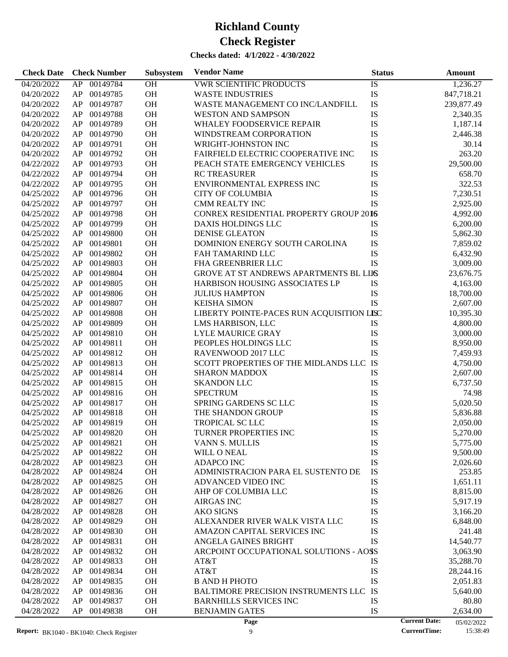| AP 00149784<br>$\overline{OH}$<br>04/20/2022<br><b>VWR SCIENTIFIC PRODUCTS</b><br>IS<br>1,236.27<br>IS<br>AP 00149785<br><b>OH</b><br>04/20/2022<br><b>WASTE INDUSTRIES</b><br>847,718.21<br>IS<br>00149787<br><b>OH</b><br>WASTE MANAGEMENT CO INC/LANDFILL<br>04/20/2022<br>AP<br>239,877.49<br>IS<br>00149788<br><b>OH</b><br>04/20/2022<br>AP<br><b>WESTON AND SAMPSON</b><br>2,340.35<br>IS<br>00149789<br><b>OH</b><br>04/20/2022<br>AP<br><b>WHALEY FOODSERVICE REPAIR</b><br>1,187.14<br>00149790<br><b>OH</b><br>IS<br>04/20/2022<br>AP<br>WINDSTREAM CORPORATION<br>2,446.38<br>IS<br>00149791<br><b>OH</b><br>04/20/2022<br>AP<br>WRIGHT-JOHNSTON INC<br>30.14<br>IS<br>00149792<br><b>OH</b><br>FAIRFIELD ELECTRIC COOPERATIVE INC<br>263.20<br>04/20/2022<br>AP<br>IS<br>00149793<br><b>OH</b><br>04/22/2022<br>AP<br>PEACH STATE EMERGENCY VEHICLES<br>29,500.00 |
|--------------------------------------------------------------------------------------------------------------------------------------------------------------------------------------------------------------------------------------------------------------------------------------------------------------------------------------------------------------------------------------------------------------------------------------------------------------------------------------------------------------------------------------------------------------------------------------------------------------------------------------------------------------------------------------------------------------------------------------------------------------------------------------------------------------------------------------------------------------------------------|
|                                                                                                                                                                                                                                                                                                                                                                                                                                                                                                                                                                                                                                                                                                                                                                                                                                                                                |
|                                                                                                                                                                                                                                                                                                                                                                                                                                                                                                                                                                                                                                                                                                                                                                                                                                                                                |
|                                                                                                                                                                                                                                                                                                                                                                                                                                                                                                                                                                                                                                                                                                                                                                                                                                                                                |
|                                                                                                                                                                                                                                                                                                                                                                                                                                                                                                                                                                                                                                                                                                                                                                                                                                                                                |
|                                                                                                                                                                                                                                                                                                                                                                                                                                                                                                                                                                                                                                                                                                                                                                                                                                                                                |
|                                                                                                                                                                                                                                                                                                                                                                                                                                                                                                                                                                                                                                                                                                                                                                                                                                                                                |
|                                                                                                                                                                                                                                                                                                                                                                                                                                                                                                                                                                                                                                                                                                                                                                                                                                                                                |
|                                                                                                                                                                                                                                                                                                                                                                                                                                                                                                                                                                                                                                                                                                                                                                                                                                                                                |
|                                                                                                                                                                                                                                                                                                                                                                                                                                                                                                                                                                                                                                                                                                                                                                                                                                                                                |
| IS<br>00149794<br><b>OH</b><br>04/22/2022<br>AP<br><b>RC TREASURER</b><br>658.70                                                                                                                                                                                                                                                                                                                                                                                                                                                                                                                                                                                                                                                                                                                                                                                               |
| IS<br>00149795<br><b>OH</b><br>ENVIRONMENTAL EXPRESS INC<br>322.53<br>04/22/2022<br>AP                                                                                                                                                                                                                                                                                                                                                                                                                                                                                                                                                                                                                                                                                                                                                                                         |
| IS<br>00149796<br><b>OH</b><br>04/25/2022<br>AP<br><b>CITY OF COLUMBIA</b><br>7,230.51                                                                                                                                                                                                                                                                                                                                                                                                                                                                                                                                                                                                                                                                                                                                                                                         |
| <b>IS</b><br>00149797<br><b>OH</b><br>04/25/2022<br>AP<br><b>CMM REALTY INC</b><br>2,925.00                                                                                                                                                                                                                                                                                                                                                                                                                                                                                                                                                                                                                                                                                                                                                                                    |
| 00149798<br><b>OH</b><br>CONREX RESIDENTIAL PROPERTY GROUP 2016<br>04/25/2022<br>AP<br>4,992.00                                                                                                                                                                                                                                                                                                                                                                                                                                                                                                                                                                                                                                                                                                                                                                                |
| 00149799<br><b>OH</b><br>04/25/2022<br>AP<br>DAXIS HOLDINGS LLC<br>IS<br>6,200.00                                                                                                                                                                                                                                                                                                                                                                                                                                                                                                                                                                                                                                                                                                                                                                                              |
| 00149800<br><b>OH</b><br>IS<br>04/25/2022<br>AP<br><b>DENISE GLEATON</b><br>5,862.30                                                                                                                                                                                                                                                                                                                                                                                                                                                                                                                                                                                                                                                                                                                                                                                           |
| IS<br>00149801<br><b>OH</b><br>DOMINION ENERGY SOUTH CAROLINA<br>04/25/2022<br>AP<br>7,859.02                                                                                                                                                                                                                                                                                                                                                                                                                                                                                                                                                                                                                                                                                                                                                                                  |
| IS<br>00149802<br><b>OH</b><br>04/25/2022<br>AP<br>FAH TAMARIND LLC<br>6,432.90                                                                                                                                                                                                                                                                                                                                                                                                                                                                                                                                                                                                                                                                                                                                                                                                |
| IS<br>00149803<br><b>OH</b><br>04/25/2022<br>AP<br>FHA GREENBRIER LLC<br>3,009.00                                                                                                                                                                                                                                                                                                                                                                                                                                                                                                                                                                                                                                                                                                                                                                                              |
| 00149804<br><b>OH</b><br>04/25/2022<br>AP<br>GROVE AT ST ANDREWS APARTMENTS BL LIIS<br>23,676.75                                                                                                                                                                                                                                                                                                                                                                                                                                                                                                                                                                                                                                                                                                                                                                               |
| 00149805<br><b>OH</b><br>IS<br>04/25/2022<br>AP<br>HARBISON HOUSING ASSOCIATES LP<br>4,163.00                                                                                                                                                                                                                                                                                                                                                                                                                                                                                                                                                                                                                                                                                                                                                                                  |
| 00149806<br><b>OH</b><br>IS<br>04/25/2022<br>AP<br><b>JULIUS HAMPTON</b><br>18,700.00                                                                                                                                                                                                                                                                                                                                                                                                                                                                                                                                                                                                                                                                                                                                                                                          |
| <b>IS</b><br>00149807<br><b>OH</b><br>04/25/2022<br>AP<br><b>KEISHA SIMON</b><br>2,607.00                                                                                                                                                                                                                                                                                                                                                                                                                                                                                                                                                                                                                                                                                                                                                                                      |
| LIBERTY POINTE-PACES RUN ACQUISITION LISC<br>00149808<br><b>OH</b><br>04/25/2022<br>AP<br>10,395.30                                                                                                                                                                                                                                                                                                                                                                                                                                                                                                                                                                                                                                                                                                                                                                            |
| 00149809<br><b>OH</b><br>04/25/2022<br>AP<br>LMS HARBISON, LLC<br>IS<br>4,800.00                                                                                                                                                                                                                                                                                                                                                                                                                                                                                                                                                                                                                                                                                                                                                                                               |
| IS<br>00149810<br><b>OH</b><br>04/25/2022<br>AP<br>LYLE MAURICE GRAY<br>3,000.00                                                                                                                                                                                                                                                                                                                                                                                                                                                                                                                                                                                                                                                                                                                                                                                               |
| IS<br>00149811<br><b>OH</b><br>04/25/2022<br>AP<br>PEOPLES HOLDINGS LLC<br>8,950.00                                                                                                                                                                                                                                                                                                                                                                                                                                                                                                                                                                                                                                                                                                                                                                                            |
| IS<br>00149812<br><b>OH</b><br>04/25/2022<br>AP<br>RAVENWOOD 2017 LLC<br>7,459.93                                                                                                                                                                                                                                                                                                                                                                                                                                                                                                                                                                                                                                                                                                                                                                                              |
| SCOTT PROPERTIES OF THE MIDLANDS LLC IS<br>00149813<br><b>OH</b><br>04/25/2022<br>AP<br>4,750.00                                                                                                                                                                                                                                                                                                                                                                                                                                                                                                                                                                                                                                                                                                                                                                               |
| 00149814<br><b>OH</b><br>IS<br>04/25/2022<br>AP<br><b>SHARON MADDOX</b><br>2,607.00                                                                                                                                                                                                                                                                                                                                                                                                                                                                                                                                                                                                                                                                                                                                                                                            |
| IS<br>00149815<br><b>OH</b><br>04/25/2022<br>AP<br><b>SKANDON LLC</b><br>6,737.50                                                                                                                                                                                                                                                                                                                                                                                                                                                                                                                                                                                                                                                                                                                                                                                              |
| 00149816<br><b>OH</b><br>IS<br>04/25/2022<br>AP<br><b>SPECTRUM</b><br>74.98                                                                                                                                                                                                                                                                                                                                                                                                                                                                                                                                                                                                                                                                                                                                                                                                    |
| IS<br>00149817<br><b>OH</b><br>SPRING GARDENS SC LLC<br>04/25/2022<br>AP<br>5,020.50                                                                                                                                                                                                                                                                                                                                                                                                                                                                                                                                                                                                                                                                                                                                                                                           |
| IS<br>00149818<br><b>OH</b><br>04/25/2022<br>AP<br>THE SHANDON GROUP<br>5,836.88                                                                                                                                                                                                                                                                                                                                                                                                                                                                                                                                                                                                                                                                                                                                                                                               |
| <b>OH</b><br>IS<br>04/25/2022<br>AP<br>00149819<br><b>TROPICAL SC LLC</b><br>2,050.00                                                                                                                                                                                                                                                                                                                                                                                                                                                                                                                                                                                                                                                                                                                                                                                          |
| OH<br>IS<br>04/25/2022<br>AP 00149820<br>TURNER PROPERTIES INC<br>5,270.00                                                                                                                                                                                                                                                                                                                                                                                                                                                                                                                                                                                                                                                                                                                                                                                                     |
| 04/25/2022<br>AP<br>00149821<br>ОH<br>VANN S. MULLIS<br>IS<br>5,775.00                                                                                                                                                                                                                                                                                                                                                                                                                                                                                                                                                                                                                                                                                                                                                                                                         |
| 00149822<br><b>OH</b><br>IS<br>04/25/2022<br>AP<br>WILL O NEAL<br>9,500.00                                                                                                                                                                                                                                                                                                                                                                                                                                                                                                                                                                                                                                                                                                                                                                                                     |
| IS<br>00149823<br><b>OH</b><br><b>ADAPCO INC</b><br>04/28/2022<br>AP<br>2,026.60                                                                                                                                                                                                                                                                                                                                                                                                                                                                                                                                                                                                                                                                                                                                                                                               |
| IS<br>OH<br>253.85<br>04/28/2022<br>AP<br>00149824<br>ADMINISTRACION PARA EL SUSTENTO DE                                                                                                                                                                                                                                                                                                                                                                                                                                                                                                                                                                                                                                                                                                                                                                                       |
| OH<br>IS<br>04/28/2022<br>AP<br>00149825<br>ADVANCED VIDEO INC<br>1,651.11                                                                                                                                                                                                                                                                                                                                                                                                                                                                                                                                                                                                                                                                                                                                                                                                     |
| IS<br>00149826<br>OH<br>8,815.00<br>04/28/2022<br>AP<br>AHP OF COLUMBIA LLC                                                                                                                                                                                                                                                                                                                                                                                                                                                                                                                                                                                                                                                                                                                                                                                                    |
| IS<br>00149827<br>OH<br>04/28/2022<br>AP<br><b>AIRGAS INC</b><br>5,917.19                                                                                                                                                                                                                                                                                                                                                                                                                                                                                                                                                                                                                                                                                                                                                                                                      |
| IS<br>00149828<br>OH<br><b>AKO SIGNS</b><br>04/28/2022<br>AP<br>3,166.20                                                                                                                                                                                                                                                                                                                                                                                                                                                                                                                                                                                                                                                                                                                                                                                                       |
| IS<br>00149829<br>OH<br>04/28/2022<br>AP<br>ALEXANDER RIVER WALK VISTA LLC<br>6,848.00                                                                                                                                                                                                                                                                                                                                                                                                                                                                                                                                                                                                                                                                                                                                                                                         |
| IS<br>00149830<br>OH<br>241.48<br>04/28/2022<br>AP<br>AMAZON CAPITAL SERVICES INC                                                                                                                                                                                                                                                                                                                                                                                                                                                                                                                                                                                                                                                                                                                                                                                              |
| <b>IS</b><br>00149831<br>OH<br>04/28/2022<br>AP<br>ANGELA GAINES BRIGHT<br>14,540.77                                                                                                                                                                                                                                                                                                                                                                                                                                                                                                                                                                                                                                                                                                                                                                                           |
| 00149832<br>OH<br>ARCPOINT OCCUPATIONAL SOLUTIONS - AOSS<br>04/28/2022<br>AP<br>3,063.90                                                                                                                                                                                                                                                                                                                                                                                                                                                                                                                                                                                                                                                                                                                                                                                       |
| 00149833<br>OH<br>IS<br>04/28/2022<br>AP<br>AT&T<br>35,288.70                                                                                                                                                                                                                                                                                                                                                                                                                                                                                                                                                                                                                                                                                                                                                                                                                  |
| IS<br>00149834<br>OH<br>AT&T<br>04/28/2022<br>AP                                                                                                                                                                                                                                                                                                                                                                                                                                                                                                                                                                                                                                                                                                                                                                                                                               |
| 28,244.16<br>IS<br>00149835<br>OH<br>04/28/2022<br>AP<br><b>B AND H PHOTO</b><br>2,051.83                                                                                                                                                                                                                                                                                                                                                                                                                                                                                                                                                                                                                                                                                                                                                                                      |
| IS<br>00149836<br>OH                                                                                                                                                                                                                                                                                                                                                                                                                                                                                                                                                                                                                                                                                                                                                                                                                                                           |
| 04/28/2022<br>AP<br><b>BALTIMORE PRECISION INSTRUMENTS LLC</b><br>5,640.00<br>AP<br>00149837<br>OH<br>IS                                                                                                                                                                                                                                                                                                                                                                                                                                                                                                                                                                                                                                                                                                                                                                       |
| 04/28/2022<br><b>BARNHILLS SERVICES INC</b><br>80.80<br>AP<br>00149838<br>OH<br><b>BENJAMIN GATES</b><br>IS<br>04/28/2022<br>2,634.00                                                                                                                                                                                                                                                                                                                                                                                                                                                                                                                                                                                                                                                                                                                                          |
| <b>Current Date:</b><br>Page<br>05/02/2022                                                                                                                                                                                                                                                                                                                                                                                                                                                                                                                                                                                                                                                                                                                                                                                                                                     |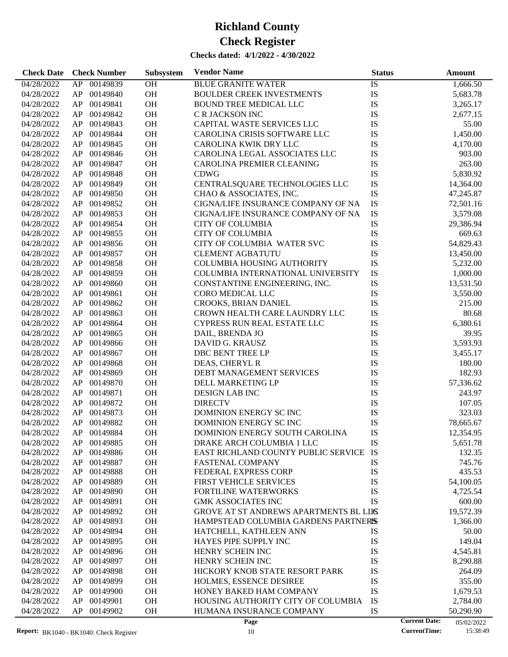| <b>Check Date</b> | <b>Check Number</b> | Subsystem | <b>Vendor Name</b>                     | <b>Status</b> | Amount                             |
|-------------------|---------------------|-----------|----------------------------------------|---------------|------------------------------------|
| 04/28/2022        | AP<br>00149839      | OH        | <b>BLUE GRANITE WATER</b>              | IS            | 1,666.50                           |
| 04/28/2022        | 00149840<br>AP      | OH        | <b>BOULDER CREEK INVESTMENTS</b>       | IS            | 5,683.78                           |
| 04/28/2022        | AP<br>00149841      | OH        | <b>BOUND TREE MEDICAL LLC</b>          | IS            | 3,265.17                           |
| 04/28/2022        | 00149842<br>AP      | OH        | C R JACKSON INC                        | IS            | 2,677.15                           |
| 04/28/2022        | 00149843<br>AP      | OH        | CAPITAL WASTE SERVICES LLC             | IS            | 55.00                              |
| 04/28/2022        | 00149844<br>AP      | OH        | CAROLINA CRISIS SOFTWARE LLC           | IS            | 1,450.00                           |
| 04/28/2022        | 00149845<br>AP      | OH        | CAROLINA KWIK DRY LLC                  | IS            | 4,170.00                           |
| 04/28/2022        | 00149846<br>AP      | OH        | CAROLINA LEGAL ASSOCIATES LLC          | IS            | 903.00                             |
| 04/28/2022        | 00149847<br>AP      | OH        | CAROLINA PREMIER CLEANING              | IS            | 263.00                             |
| 04/28/2022        | 00149848<br>AP      | OH        | <b>CDWG</b>                            | IS            | 5,830.92                           |
| 04/28/2022        | 00149849<br>AP      | OH        | CENTRALSQUARE TECHNOLOGIES LLC         | IS            | 14,364.00                          |
| 04/28/2022        | 00149850<br>AP      | OH        | CHAO & ASSOCIATES, INC.                | IS            | 47,245.87                          |
| 04/28/2022        | 00149852<br>AP      | OH        | CIGNA/LIFE INSURANCE COMPANY OF NA     | IS            | 72,501.16                          |
| 04/28/2022        | AP<br>00149853      | OH        | CIGNA/LIFE INSURANCE COMPANY OF NA     | IS            | 3,579.08                           |
| 04/28/2022        | 00149854<br>AP      | OH        | <b>CITY OF COLUMBIA</b>                | IS            | 29,386.94                          |
| 04/28/2022        | 00149855<br>AP      | OH        | <b>CITY OF COLUMBIA</b>                | IS            | 669.63                             |
| 04/28/2022        | 00149856<br>AP      | OH        | CITY OF COLUMBIA WATER SVC             | IS            | 54,829.43                          |
| 04/28/2022        | 00149857<br>AP      | OH        | <b>CLEMENT AGBATUTU</b>                | IS            | 13,450.00                          |
| 04/28/2022        | 00149858<br>AP      | OH        | COLUMBIA HOUSING AUTHORITY             | IS            | 5,232.00                           |
|                   | 00149859            | OH        |                                        |               |                                    |
| 04/28/2022        | AP<br>00149860      |           | COLUMBIA INTERNATIONAL UNIVERSITY      | IS            | 1,000.00                           |
| 04/28/2022        | AP                  | OH        | CONSTANTINE ENGINEERING, INC.          | IS            | 13,531.50                          |
| 04/28/2022        | 00149861<br>AP      | OH        | CORO MEDICAL LLC                       | IS            | 3,550.00                           |
| 04/28/2022        | 00149862<br>AP      | OH        | CROOKS, BRIAN DANIEL                   | IS            | 215.00                             |
| 04/28/2022        | 00149863<br>AP      | OH        | CROWN HEALTH CARE LAUNDRY LLC          | IS            | 80.68                              |
| 04/28/2022        | 00149864<br>AP      | OH        | CYPRESS RUN REAL ESTATE LLC            | IS            | 6,380.61                           |
| 04/28/2022        | 00149865<br>AP      | OH        | DAIL, BRENDA JO                        | IS            | 39.95                              |
| 04/28/2022        | 00149866<br>AP      | OH        | DAVID G. KRAUSZ                        | IS            | 3,593.93                           |
| 04/28/2022        | 00149867<br>AP      | OH        | DBC BENT TREE LP                       | IS            | 3,455.17                           |
| 04/28/2022        | 00149868<br>AP      | OH        | DEAS, CHERYL R                         | IS            | 180.00                             |
| 04/28/2022        | 00149869<br>AP      | OH        | DEBT MANAGEMENT SERVICES               | IS            | 182.93                             |
| 04/28/2022        | 00149870<br>AP      | OH        | DELL MARKETING LP                      | IS            | 57,336.62                          |
| 04/28/2022        | 00149871<br>AP      | OH        | <b>DESIGN LAB INC</b>                  | IS            | 243.97                             |
| 04/28/2022        | 00149872<br>AP      | OH        | <b>DIRECTV</b>                         | IS            | 107.05                             |
| 04/28/2022        | 00149873<br>AP      | <b>OH</b> | DOMINION ENERGY SC INC                 | IS            | 323.03                             |
| 04/28/2022        | AP<br>00149882      | OH        | DOMINION ENERGY SC INC                 | IS            | 78,665.67                          |
| 04/28/2022        | AP 00149884         | <b>OH</b> | DOMINION ENERGY SOUTH CAROLINA         | IS            | 12,354.95                          |
| 04/28/2022        | 00149885<br>AP      | <b>OH</b> | DRAKE ARCH COLUMBIA 1 LLC              | IS            | 5,651.78                           |
| 04/28/2022        | 00149886<br>AP      | <b>OH</b> | EAST RICHLAND COUNTY PUBLIC SERVICE    | IS            | 132.35                             |
| 04/28/2022        | AP<br>00149887      | <b>OH</b> | <b>FASTENAL COMPANY</b>                | IS            | 745.76                             |
| 04/28/2022        | 00149888<br>AP      | <b>OH</b> | FEDERAL EXPRESS CORP                   | IS            | 435.53                             |
| 04/28/2022        | 00149889<br>AP      | <b>OH</b> | FIRST VEHICLE SERVICES                 | IS            | 54,100.05                          |
| 04/28/2022        | 00149890<br>AP      | <b>OH</b> | <b>FORTILINE WATERWORKS</b>            | IS            | 4,725.54                           |
| 04/28/2022        | AP<br>00149891      | <b>OH</b> | <b>GMK ASSOCIATES INC</b>              | IS            | 600.00                             |
| 04/28/2022        | 00149892<br>AP      | <b>OH</b> | GROVE AT ST ANDREWS APARTMENTS BL LIIS |               | 19,572.39                          |
| 04/28/2022        | 00149893<br>AP      | <b>OH</b> | HAMPSTEAD COLUMBIA GARDENS PARTNERIS   |               | 1,366.00                           |
| 04/28/2022        | 00149894<br>AP      | <b>OH</b> | HATCHELL, KATHLEEN ANN                 | IS            | 50.00                              |
| 04/28/2022        | 00149895<br>AP      | <b>OH</b> | HAYES PIPE SUPPLY INC                  | IS            | 149.04                             |
| 04/28/2022        | 00149896<br>AP      | <b>OH</b> | HENRY SCHEIN INC                       | IS            | 4,545.81                           |
| 04/28/2022        | 00149897<br>AP      | <b>OH</b> | HENRY SCHEIN INC                       | IS            | 8,290.88                           |
| 04/28/2022        | 00149898<br>AP      | <b>OH</b> | HICKORY KNOB STATE RESORT PARK         | IS            | 264.09                             |
| 04/28/2022        | 00149899<br>AP      | <b>OH</b> | HOLMES, ESSENCE DESIREE                | IS            | 355.00                             |
| 04/28/2022        | 00149900<br>AP      | <b>OH</b> | HONEY BAKED HAM COMPANY                | IS            | 1,679.53                           |
| 04/28/2022        | 00149901<br>AP      | <b>OH</b> | HOUSING AUTHORITY CITY OF COLUMBIA     | IS            | 2,784.00                           |
| 04/28/2022        | AP<br>00149902      | <b>OH</b> | HUMANA INSURANCE COMPANY               | IS            | 50,290.90                          |
|                   |                     |           | Page                                   |               | <b>Current Date:</b><br>05/02/2022 |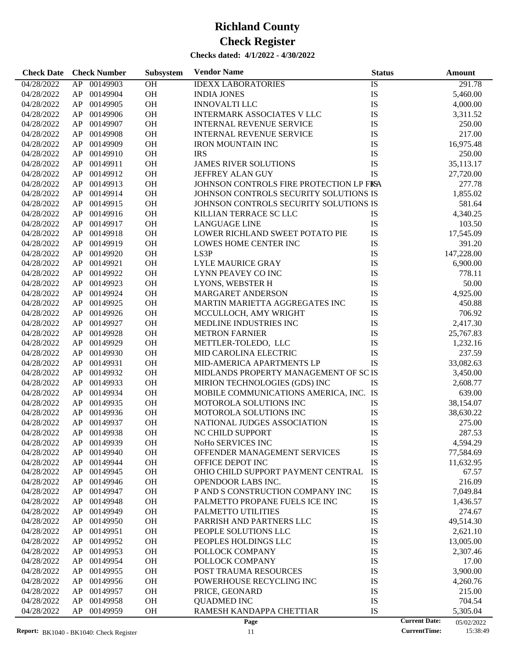| 00149903<br>OH<br>IS<br>04/28/2022<br>AP<br><b>IDEXX LABORATORIES</b><br>291.78<br>OH<br>IS<br>04/28/2022<br>AP<br>00149904<br>5,460.00<br><b>INDIA JONES</b><br>OH<br>IS<br>00149905<br><b>INNOVALTI LLC</b><br>04/28/2022<br>AP<br>4,000.00<br>IS<br>00149906<br>OH<br><b>INTERMARK ASSOCIATES V LLC</b><br>04/28/2022<br>AP<br>3,311.52<br>OH<br>IS<br>00149907<br>04/28/2022<br>AP<br><b>INTERNAL REVENUE SERVICE</b><br>250.00<br>OH<br>IS<br>00149908<br>217.00<br>04/28/2022<br>AP<br><b>INTERNAL REVENUE SERVICE</b><br>OH<br>IS<br>00149909<br>16,975.48<br>04/28/2022<br>AP<br><b>IRON MOUNTAIN INC</b><br>OH<br>IS<br>00149910<br><b>IRS</b><br>04/28/2022<br>AP<br>250.00<br>OH<br>IS<br>00149911<br><b>JAMES RIVER SOLUTIONS</b><br>35,113.17<br>04/28/2022<br>AP<br>OH<br><b>IS</b><br>00149912<br>JEFFREY ALAN GUY<br>04/28/2022<br>AP<br>27,720.00<br>00149913<br>OH<br>JOHNSON CONTROLS FIRE PROTECTION LP FISA<br>04/28/2022<br>AP<br>277.78<br>OH<br>00149914<br>JOHNSON CONTROLS SECURITY SOLUTIONS IS<br>1,855.02<br>04/28/2022<br>AP |
|------------------------------------------------------------------------------------------------------------------------------------------------------------------------------------------------------------------------------------------------------------------------------------------------------------------------------------------------------------------------------------------------------------------------------------------------------------------------------------------------------------------------------------------------------------------------------------------------------------------------------------------------------------------------------------------------------------------------------------------------------------------------------------------------------------------------------------------------------------------------------------------------------------------------------------------------------------------------------------------------------------------------------------------------------------|
|                                                                                                                                                                                                                                                                                                                                                                                                                                                                                                                                                                                                                                                                                                                                                                                                                                                                                                                                                                                                                                                            |
|                                                                                                                                                                                                                                                                                                                                                                                                                                                                                                                                                                                                                                                                                                                                                                                                                                                                                                                                                                                                                                                            |
|                                                                                                                                                                                                                                                                                                                                                                                                                                                                                                                                                                                                                                                                                                                                                                                                                                                                                                                                                                                                                                                            |
|                                                                                                                                                                                                                                                                                                                                                                                                                                                                                                                                                                                                                                                                                                                                                                                                                                                                                                                                                                                                                                                            |
|                                                                                                                                                                                                                                                                                                                                                                                                                                                                                                                                                                                                                                                                                                                                                                                                                                                                                                                                                                                                                                                            |
|                                                                                                                                                                                                                                                                                                                                                                                                                                                                                                                                                                                                                                                                                                                                                                                                                                                                                                                                                                                                                                                            |
|                                                                                                                                                                                                                                                                                                                                                                                                                                                                                                                                                                                                                                                                                                                                                                                                                                                                                                                                                                                                                                                            |
|                                                                                                                                                                                                                                                                                                                                                                                                                                                                                                                                                                                                                                                                                                                                                                                                                                                                                                                                                                                                                                                            |
|                                                                                                                                                                                                                                                                                                                                                                                                                                                                                                                                                                                                                                                                                                                                                                                                                                                                                                                                                                                                                                                            |
|                                                                                                                                                                                                                                                                                                                                                                                                                                                                                                                                                                                                                                                                                                                                                                                                                                                                                                                                                                                                                                                            |
|                                                                                                                                                                                                                                                                                                                                                                                                                                                                                                                                                                                                                                                                                                                                                                                                                                                                                                                                                                                                                                                            |
|                                                                                                                                                                                                                                                                                                                                                                                                                                                                                                                                                                                                                                                                                                                                                                                                                                                                                                                                                                                                                                                            |
| OH<br>00149915<br>JOHNSON CONTROLS SECURITY SOLUTIONS IS<br>04/28/2022<br>AP<br>581.64                                                                                                                                                                                                                                                                                                                                                                                                                                                                                                                                                                                                                                                                                                                                                                                                                                                                                                                                                                     |
| OH<br>00149916<br>4,340.25                                                                                                                                                                                                                                                                                                                                                                                                                                                                                                                                                                                                                                                                                                                                                                                                                                                                                                                                                                                                                                 |
| 04/28/2022<br>AP<br>KILLIAN TERRACE SC LLC<br>IS                                                                                                                                                                                                                                                                                                                                                                                                                                                                                                                                                                                                                                                                                                                                                                                                                                                                                                                                                                                                           |
| IS<br>00149917<br>OH<br>04/28/2022<br>AP<br><b>LANGUAGE LINE</b><br>103.50                                                                                                                                                                                                                                                                                                                                                                                                                                                                                                                                                                                                                                                                                                                                                                                                                                                                                                                                                                                 |
| OH<br>IS<br>00149918<br>LOWER RICHLAND SWEET POTATO PIE<br>17,545.09<br>04/28/2022<br>AP                                                                                                                                                                                                                                                                                                                                                                                                                                                                                                                                                                                                                                                                                                                                                                                                                                                                                                                                                                   |
| IS<br>OH<br>00149919<br>04/28/2022<br>AP<br>LOWES HOME CENTER INC<br>391.20                                                                                                                                                                                                                                                                                                                                                                                                                                                                                                                                                                                                                                                                                                                                                                                                                                                                                                                                                                                |
| IS<br>00149920<br><b>OH</b><br>LS3P<br>147,228.00<br>04/28/2022<br>AP                                                                                                                                                                                                                                                                                                                                                                                                                                                                                                                                                                                                                                                                                                                                                                                                                                                                                                                                                                                      |
| OH<br>IS<br>00149921<br><b>LYLE MAURICE GRAY</b><br>04/28/2022<br>AP<br>6,900.00                                                                                                                                                                                                                                                                                                                                                                                                                                                                                                                                                                                                                                                                                                                                                                                                                                                                                                                                                                           |
| OH<br>IS<br>00149922<br>LYNN PEAVEY CO INC<br>778.11<br>04/28/2022<br>AP                                                                                                                                                                                                                                                                                                                                                                                                                                                                                                                                                                                                                                                                                                                                                                                                                                                                                                                                                                                   |
| OH<br>IS<br>00149923<br>50.00<br>04/28/2022<br>AP<br>LYONS, WEBSTER H                                                                                                                                                                                                                                                                                                                                                                                                                                                                                                                                                                                                                                                                                                                                                                                                                                                                                                                                                                                      |
| IS<br>00149924<br>OH<br>4,925.00<br>04/28/2022<br>AP<br><b>MARGARET ANDERSON</b>                                                                                                                                                                                                                                                                                                                                                                                                                                                                                                                                                                                                                                                                                                                                                                                                                                                                                                                                                                           |
| OH<br>IS<br>00149925<br>04/28/2022<br>AP<br>MARTIN MARIETTA AGGREGATES INC<br>450.88                                                                                                                                                                                                                                                                                                                                                                                                                                                                                                                                                                                                                                                                                                                                                                                                                                                                                                                                                                       |
| OH<br>IS<br>00149926<br>706.92<br>04/28/2022<br>AP<br>MCCULLOCH, AMY WRIGHT                                                                                                                                                                                                                                                                                                                                                                                                                                                                                                                                                                                                                                                                                                                                                                                                                                                                                                                                                                                |
| IS<br>00149927<br>OH<br>2,417.30<br>04/28/2022<br>AP<br>MEDLINE INDUSTRIES INC                                                                                                                                                                                                                                                                                                                                                                                                                                                                                                                                                                                                                                                                                                                                                                                                                                                                                                                                                                             |
| OH<br>IS<br>00149928<br>04/28/2022<br>AP<br><b>METRON FARNIER</b><br>25,767.83                                                                                                                                                                                                                                                                                                                                                                                                                                                                                                                                                                                                                                                                                                                                                                                                                                                                                                                                                                             |
| OH<br>IS<br>00149929<br>METTLER-TOLEDO, LLC<br>04/28/2022<br>AP<br>1,232.16                                                                                                                                                                                                                                                                                                                                                                                                                                                                                                                                                                                                                                                                                                                                                                                                                                                                                                                                                                                |
| OH<br>IS<br>00149930<br>237.59<br>04/28/2022<br>AP<br>MID CAROLINA ELECTRIC                                                                                                                                                                                                                                                                                                                                                                                                                                                                                                                                                                                                                                                                                                                                                                                                                                                                                                                                                                                |
| <b>IS</b><br>00149931<br><b>OH</b><br>MID-AMERICA APARTMENTS LP<br>04/28/2022<br>AP<br>33,082.63                                                                                                                                                                                                                                                                                                                                                                                                                                                                                                                                                                                                                                                                                                                                                                                                                                                                                                                                                           |
| OH<br>MIDLANDS PROPERTY MANAGEMENT OF SC IS<br>00149932<br>04/28/2022<br>AP<br>3,450.00                                                                                                                                                                                                                                                                                                                                                                                                                                                                                                                                                                                                                                                                                                                                                                                                                                                                                                                                                                    |
| OH<br>00149933<br>MIRION TECHNOLOGIES (GDS) INC<br>IS<br>04/28/2022<br>AP<br>2,608.77                                                                                                                                                                                                                                                                                                                                                                                                                                                                                                                                                                                                                                                                                                                                                                                                                                                                                                                                                                      |
| MOBILE COMMUNICATIONS AMERICA, INC. IS<br>00149934<br><b>OH</b><br>04/28/2022<br>AP<br>639.00                                                                                                                                                                                                                                                                                                                                                                                                                                                                                                                                                                                                                                                                                                                                                                                                                                                                                                                                                              |
| 00149935<br>OH<br>IS<br>38,154.07<br>04/28/2022<br>AP<br>MOTOROLA SOLUTIONS INC                                                                                                                                                                                                                                                                                                                                                                                                                                                                                                                                                                                                                                                                                                                                                                                                                                                                                                                                                                            |
| OH<br>IS<br>00149936<br>04/28/2022<br>AP<br>MOTOROLA SOLUTIONS INC<br>38,630.22                                                                                                                                                                                                                                                                                                                                                                                                                                                                                                                                                                                                                                                                                                                                                                                                                                                                                                                                                                            |
| IS<br>00149937<br>OH<br>04/28/2022<br>AP<br>NATIONAL JUDGES ASSOCIATION<br>275.00                                                                                                                                                                                                                                                                                                                                                                                                                                                                                                                                                                                                                                                                                                                                                                                                                                                                                                                                                                          |
| IS<br>00149938<br><b>OH</b><br>04/28/2022<br>AP<br>NC CHILD SUPPORT<br>287.53                                                                                                                                                                                                                                                                                                                                                                                                                                                                                                                                                                                                                                                                                                                                                                                                                                                                                                                                                                              |
| 04/28/2022<br>AP<br>00149939<br>OН<br>NoHo SERVICES INC<br>IS<br>4,594.29                                                                                                                                                                                                                                                                                                                                                                                                                                                                                                                                                                                                                                                                                                                                                                                                                                                                                                                                                                                  |
| IS<br>04/28/2022<br>00149940<br><b>OH</b><br>AP<br>OFFENDER MANAGEMENT SERVICES<br>77,584.69                                                                                                                                                                                                                                                                                                                                                                                                                                                                                                                                                                                                                                                                                                                                                                                                                                                                                                                                                               |
| <b>IS</b><br>00149944<br>OH<br>OFFICE DEPOT INC<br>04/28/2022<br>AP<br>11,632.95                                                                                                                                                                                                                                                                                                                                                                                                                                                                                                                                                                                                                                                                                                                                                                                                                                                                                                                                                                           |
| IS<br><b>OH</b><br>04/28/2022<br>AP<br>00149945<br>OHIO CHILD SUPPORT PAYMENT CENTRAL<br>67.57                                                                                                                                                                                                                                                                                                                                                                                                                                                                                                                                                                                                                                                                                                                                                                                                                                                                                                                                                             |
| IS<br><b>OH</b><br>216.09<br>04/28/2022<br>AP<br>00149946<br>OPENDOOR LABS INC.                                                                                                                                                                                                                                                                                                                                                                                                                                                                                                                                                                                                                                                                                                                                                                                                                                                                                                                                                                            |
| IS<br>00149947<br><b>OH</b><br>P AND S CONSTRUCTION COMPANY INC<br>04/28/2022<br>AP<br>7,049.84                                                                                                                                                                                                                                                                                                                                                                                                                                                                                                                                                                                                                                                                                                                                                                                                                                                                                                                                                            |
| IS<br>00149948<br><b>OH</b><br>04/28/2022<br>AP<br>PALMETTO PROPANE FUELS ICE INC<br>1,436.57                                                                                                                                                                                                                                                                                                                                                                                                                                                                                                                                                                                                                                                                                                                                                                                                                                                                                                                                                              |
| IS<br>00149949<br><b>OH</b><br>PALMETTO UTILITIES<br>04/28/2022<br>AP<br>274.67                                                                                                                                                                                                                                                                                                                                                                                                                                                                                                                                                                                                                                                                                                                                                                                                                                                                                                                                                                            |
| IS<br>00149950<br><b>OH</b><br>PARRISH AND PARTNERS LLC<br>04/28/2022<br>AP<br>49,514.30                                                                                                                                                                                                                                                                                                                                                                                                                                                                                                                                                                                                                                                                                                                                                                                                                                                                                                                                                                   |
| IS<br>00149951<br><b>OH</b><br>04/28/2022<br>AP<br>PEOPLE SOLUTIONS LLC<br>2,621.10                                                                                                                                                                                                                                                                                                                                                                                                                                                                                                                                                                                                                                                                                                                                                                                                                                                                                                                                                                        |
| IS<br>00149952<br><b>OH</b><br>04/28/2022<br>AP<br>PEOPLES HOLDINGS LLC<br>13,005.00                                                                                                                                                                                                                                                                                                                                                                                                                                                                                                                                                                                                                                                                                                                                                                                                                                                                                                                                                                       |
| IS<br>00149953<br><b>OH</b><br>04/28/2022<br>AP<br>POLLOCK COMPANY<br>2,307.46                                                                                                                                                                                                                                                                                                                                                                                                                                                                                                                                                                                                                                                                                                                                                                                                                                                                                                                                                                             |
| IS<br>00149954<br><b>OH</b><br>POLLOCK COMPANY<br>17.00<br>04/28/2022<br>AP                                                                                                                                                                                                                                                                                                                                                                                                                                                                                                                                                                                                                                                                                                                                                                                                                                                                                                                                                                                |
| IS<br>00149955<br><b>OH</b><br>04/28/2022<br>AP<br>POST TRAUMA RESOURCES<br>3,900.00                                                                                                                                                                                                                                                                                                                                                                                                                                                                                                                                                                                                                                                                                                                                                                                                                                                                                                                                                                       |
| IS<br>00149956<br><b>OH</b><br>POWERHOUSE RECYCLING INC<br>04/28/2022<br>AP<br>4,260.76                                                                                                                                                                                                                                                                                                                                                                                                                                                                                                                                                                                                                                                                                                                                                                                                                                                                                                                                                                    |
| IS<br>00149957<br>OH<br>04/28/2022<br>AP<br>PRICE, GEONARD<br>215.00                                                                                                                                                                                                                                                                                                                                                                                                                                                                                                                                                                                                                                                                                                                                                                                                                                                                                                                                                                                       |
| IS<br>00149958<br>OH<br>04/28/2022<br>AP<br>704.54                                                                                                                                                                                                                                                                                                                                                                                                                                                                                                                                                                                                                                                                                                                                                                                                                                                                                                                                                                                                         |
| <b>QUADMED INC</b><br>IS<br>AP<br>00149959<br><b>OH</b><br>RAMESH KANDAPPA CHETTIAR<br>04/28/2022<br>5,305.04                                                                                                                                                                                                                                                                                                                                                                                                                                                                                                                                                                                                                                                                                                                                                                                                                                                                                                                                              |
| <b>Current Date:</b><br>Page<br>05/02/2022                                                                                                                                                                                                                                                                                                                                                                                                                                                                                                                                                                                                                                                                                                                                                                                                                                                                                                                                                                                                                 |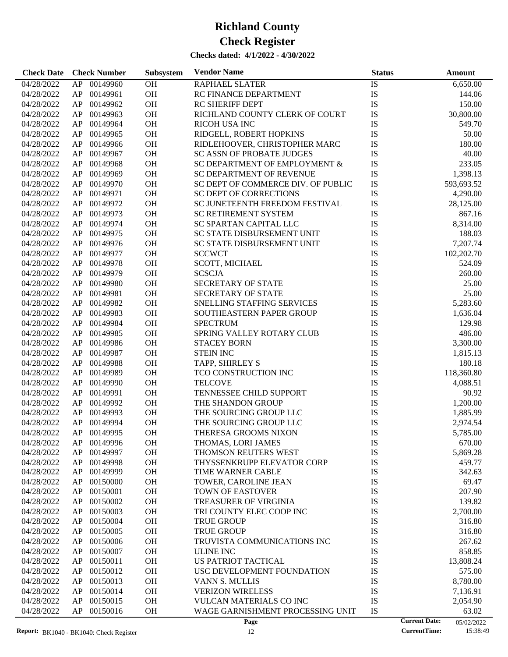| <b>Check Date</b> | <b>Check Number</b> | Subsystem | <b>Vendor Name</b>                 | <b>Status</b> | Amount                             |
|-------------------|---------------------|-----------|------------------------------------|---------------|------------------------------------|
| 04/28/2022        | 00149960<br>AP      | OH        | RAPHAEL SLATER                     | IS            | 6,650.00                           |
| 04/28/2022        | 00149961<br>AP      | OH        | RC FINANCE DEPARTMENT              | IS            | 144.06                             |
| 04/28/2022        | 00149962<br>AP      | OH        | <b>RC SHERIFF DEPT</b>             | IS            | 150.00                             |
| 04/28/2022        | 00149963<br>AP      | OH        | RICHLAND COUNTY CLERK OF COURT     | IS            | 30,800.00                          |
| 04/28/2022        | 00149964<br>AP      | OH        | RICOH USA INC                      | IS            | 549.70                             |
| 04/28/2022        | 00149965<br>AP      | OH        | RIDGELL, ROBERT HOPKINS            | IS            | 50.00                              |
| 04/28/2022        | 00149966<br>AP      | OH        | RIDLEHOOVER, CHRISTOPHER MARC      | IS            | 180.00                             |
| 04/28/2022        | 00149967<br>AP      | OH        | <b>SC ASSN OF PROBATE JUDGES</b>   | IS            | 40.00                              |
| 04/28/2022        | 00149968<br>AP      | OH        | SC DEPARTMENT OF EMPLOYMENT &      | IS            | 233.05                             |
| 04/28/2022        | 00149969<br>AP      | OH        | SC DEPARTMENT OF REVENUE           | IS            | 1,398.13                           |
| 04/28/2022        | 00149970<br>AP      | OH        | SC DEPT OF COMMERCE DIV. OF PUBLIC | IS            | 593,693.52                         |
| 04/28/2022        | 00149971<br>AP      | OH        | SC DEPT OF CORRECTIONS             | IS            | 4,290.00                           |
| 04/28/2022        | 00149972<br>AP      | OH        | SC JUNETEENTH FREEDOM FESTIVAL     | IS            | 28,125.00                          |
| 04/28/2022        | 00149973<br>AP      | OH        | SC RETIREMENT SYSTEM               | IS            | 867.16                             |
| 04/28/2022        | 00149974<br>AP      | OH        | SC SPARTAN CAPITAL LLC             | IS            | 8,314.00                           |
| 04/28/2022        | 00149975<br>AP      | OH        | SC STATE DISBURSEMENT UNIT         | IS            | 188.03                             |
| 04/28/2022        | 00149976<br>AP      | OH        | SC STATE DISBURSEMENT UNIT         | IS            | 7,207.74                           |
| 04/28/2022        | 00149977<br>AP      | OH        | <b>SCCWCT</b>                      | IS            | 102,202.70                         |
| 04/28/2022        | AP<br>00149978      | OH        | SCOTT, MICHAEL                     | IS            | 524.09                             |
| 04/28/2022        | 00149979<br>AP      | OH        | <b>SCSCJA</b>                      | IS            | 260.00                             |
|                   | 00149980            |           |                                    |               |                                    |
| 04/28/2022        | AP                  | OH        | SECRETARY OF STATE                 | IS            | 25.00                              |
| 04/28/2022        | 00149981<br>AP      | OH        | SECRETARY OF STATE                 | IS            | 25.00                              |
| 04/28/2022        | 00149982<br>AP      | OH        | SNELLING STAFFING SERVICES         | IS            | 5,283.60                           |
| 04/28/2022        | 00149983<br>AP      | OH        | SOUTHEASTERN PAPER GROUP           | IS            | 1,636.04                           |
| 04/28/2022        | 00149984<br>AP      | OH        | <b>SPECTRUM</b>                    | IS            | 129.98                             |
| 04/28/2022        | 00149985<br>AP      | OH        | SPRING VALLEY ROTARY CLUB          | IS            | 486.00                             |
| 04/28/2022        | 00149986<br>AP      | OH        | <b>STACEY BORN</b>                 | IS            | 3,300.00                           |
| 04/28/2022        | 00149987<br>AP      | OH        | <b>STEIN INC</b>                   | IS            | 1,815.13                           |
| 04/28/2022        | 00149988<br>AP      | OH        | TAPP, SHIRLEY S                    | IS            | 180.18                             |
| 04/28/2022        | 00149989<br>AP      | OH        | TCO CONSTRUCTION INC               | IS            | 118,360.80                         |
| 04/28/2022        | 00149990<br>AP      | OH        | <b>TELCOVE</b>                     | IS            | 4,088.51                           |
| 04/28/2022        | 00149991<br>AP      | OH        | TENNESSEE CHILD SUPPORT            | IS            | 90.92                              |
| 04/28/2022        | 00149992<br>AP      | OH        | THE SHANDON GROUP                  | IS            | 1,200.00                           |
| 04/28/2022        | 00149993<br>AP      | OH        | THE SOURCING GROUP LLC             | IS            | 1,885.99                           |
| 04/28/2022        | 00149994<br>AP      | OH        | THE SOURCING GROUP LLC             | IS            | 2,974.54                           |
| 04/28/2022        | AP<br>00149995      | <b>OH</b> | THERESA GROOMS NIXON               | IS            | 5,785.00                           |
| 04/28/2022        | 00149996<br>AP      | OH        | THOMAS, LORI JAMES                 | IS            | 670.00                             |
| 04/28/2022        | 00149997<br>AP      | OH        | THOMSON REUTERS WEST               | IS            | 5,869.28                           |
| 04/28/2022        | AP<br>00149998      | <b>OH</b> | THYSSENKRUPP ELEVATOR CORP         | IS            | 459.77                             |
| 04/28/2022        | 00149999<br>AP      | OH        | TIME WARNER CABLE                  | IS            | 342.63                             |
| 04/28/2022        | 00150000<br>AP      | OH        | TOWER, CAROLINE JEAN               | IS            | 69.47                              |
| 04/28/2022        | 00150001<br>AP      | OH        | <b>TOWN OF EASTOVER</b>            | IS            | 207.90                             |
| 04/28/2022        | 00150002<br>AP      | OH        | TREASURER OF VIRGINIA              | IS            | 139.82                             |
| 04/28/2022        | 00150003<br>AP      | OH        | TRI COUNTY ELEC COOP INC           | IS            | 2,700.00                           |
| 04/28/2022        | 00150004<br>AP      | OH        | <b>TRUE GROUP</b>                  | IS            | 316.80                             |
| 04/28/2022        | 00150005<br>AP      | OH        | <b>TRUE GROUP</b>                  | IS            | 316.80                             |
| 04/28/2022        | 00150006<br>AP      | OH        | TRUVISTA COMMUNICATIONS INC        | IS            | 267.62                             |
| 04/28/2022        | 00150007<br>AP      | OH        | <b>ULINE INC</b>                   | IS            | 858.85                             |
| 04/28/2022        | 00150011<br>AP      | OH        | US PATRIOT TACTICAL                | IS            | 13,808.24                          |
| 04/28/2022        | 00150012<br>AP      | OH        | USC DEVELOPMENT FOUNDATION         | IS            | 575.00                             |
| 04/28/2022        | 00150013<br>AP      | OH        | <b>VANN S. MULLIS</b>              | IS            | 8,780.00                           |
| 04/28/2022        | 00150014<br>AP      | <b>OH</b> | <b>VERIZON WIRELESS</b>            | IS            | 7,136.91                           |
| 04/28/2022        | 00150015<br>AP      | OH        | VULCAN MATERIALS CO INC            | IS            | 2,054.90                           |
| 04/28/2022        | AP<br>00150016      | OH        | WAGE GARNISHMENT PROCESSING UNIT   | IS            | 63.02                              |
|                   |                     |           | Page                               |               | <b>Current Date:</b><br>05/02/2022 |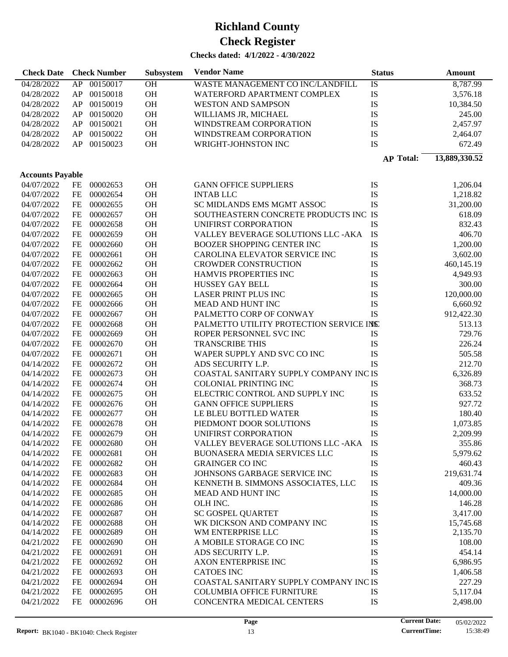| <b>Check Date</b>       |      | <b>Check Number</b> | Subsystem | <b>Vendor Name</b>                      | <b>Status</b>    | <b>Amount</b> |
|-------------------------|------|---------------------|-----------|-----------------------------------------|------------------|---------------|
| 04/28/2022              |      | AP 00150017         | <b>OH</b> | WASTE MANAGEMENT CO INC/LANDFILL        | IS               | 8,787.99      |
| 04/28/2022              | AP   | 00150018            | OH        | WATERFORD APARTMENT COMPLEX             | IS               | 3,576.18      |
| 04/28/2022              | AP   | 00150019            | OH        | <b>WESTON AND SAMPSON</b>               | IS               | 10,384.50     |
| 04/28/2022              | AP   | 00150020            | OH        | WILLIAMS JR, MICHAEL                    | IS               | 245.00        |
| 04/28/2022              | AP   | 00150021            | OH        | WINDSTREAM CORPORATION                  | IS               | 2,457.97      |
| 04/28/2022              | AP   | 00150022            | OH        | WINDSTREAM CORPORATION                  | IS               | 2,464.07      |
| 04/28/2022              | AP   | 00150023            | OH        | WRIGHT-JOHNSTON INC                     | IS               | 672.49        |
|                         |      |                     |           |                                         | <b>AP Total:</b> | 13,889,330.52 |
|                         |      |                     |           |                                         |                  |               |
| <b>Accounts Payable</b> |      |                     |           |                                         |                  |               |
| 04/07/2022              | FE   | 00002653            | OH        | <b>GANN OFFICE SUPPLIERS</b>            | IS               | 1,206.04      |
| 04/07/2022              | $FE$ | 00002654            | OH        | <b>INTAB LLC</b>                        | IS               | 1,218.82      |
| 04/07/2022              | FE   | 00002655            | OH        | SC MIDLANDS EMS MGMT ASSOC              | IS               | 31,200.00     |
| 04/07/2022              | FE   | 00002657            | OH        | SOUTHEASTERN CONCRETE PRODUCTS INC IS   |                  | 618.09        |
| 04/07/2022              | FE   | 00002658            | OH        | UNIFIRST CORPORATION                    | IS               | 832.43        |
| 04/07/2022              | $FE$ | 00002659            | OH        | VALLEY BEVERAGE SOLUTIONS LLC -AKA      | IS               | 406.70        |
| 04/07/2022              | $FE$ | 00002660            | OH        | <b>BOOZER SHOPPING CENTER INC</b>       | IS               | 1,200.00      |
| 04/07/2022              | $FE$ | 00002661            | OH        | CAROLINA ELEVATOR SERVICE INC           | IS               | 3,602.00      |
| 04/07/2022              | $FE$ | 00002662            | OH        | <b>CROWDER CONSTRUCTION</b>             | IS               | 460,145.19    |
| 04/07/2022              | $FE$ | 00002663            | OH        | HAMVIS PROPERTIES INC                   | IS               | 4,949.93      |
| 04/07/2022              | $FE$ | 00002664            | OH        | <b>HUSSEY GAY BELL</b>                  | IS               | 300.00        |
| 04/07/2022              | $FE$ | 00002665            | OH        | LASER PRINT PLUS INC                    | IS               | 120,000.00    |
| 04/07/2022              | $FE$ | 00002666            | OH        | MEAD AND HUNT INC                       | IS               | 6,660.92      |
| 04/07/2022              | $FE$ | 00002667            | OH        | PALMETTO CORP OF CONWAY                 | IS               | 912,422.30    |
| 04/07/2022              | $FE$ | 00002668            | OH        | PALMETTO UTILITY PROTECTION SERVICE INS |                  | 513.13        |
| 04/07/2022              | $FE$ | 00002669            | OH        | ROPER PERSONNEL SVC INC                 | IS               | 729.76        |
| 04/07/2022              | $FE$ | 00002670            | OH        | <b>TRANSCRIBE THIS</b>                  | IS               | 226.24        |
| 04/07/2022              | $FE$ | 00002671            | OH        | WAPER SUPPLY AND SVC CO INC             | IS               | 505.58        |
| 04/14/2022              | $FE$ | 00002672            | OH        | ADS SECURITY L.P.                       | <b>IS</b>        | 212.70        |
| 04/14/2022              | $FE$ | 00002673            | OH        | COASTAL SANITARY SUPPLY COMPANY INC IS  |                  | 6,326.89      |
| 04/14/2022              | $FE$ | 00002674            | OH        | <b>COLONIAL PRINTING INC</b>            | IS               | 368.73        |
| 04/14/2022              | $FE$ | 00002675            | OH        | ELECTRIC CONTROL AND SUPPLY INC         | IS               | 633.52        |
| 04/14/2022              | $FE$ | 00002676            | OH        | <b>GANN OFFICE SUPPLIERS</b>            | IS               | 927.72        |
| 04/14/2022              | $FE$ | 00002677            | OH        | LE BLEU BOTTLED WATER                   | IS               | 180.40        |
| 04/14/2022              | $FE$ | 00002678            | OH        | PIEDMONT DOOR SOLUTIONS                 | IS               | 1,073.85      |
| 04/14/2022              | FE   | 00002679            | OH        | UNIFIRST CORPORATION                    | IS               | 2,209.99      |
| 04/14/2022              | FE   | 00002680            | OH        | VALLEY BEVERAGE SOLUTIONS LLC -AKA      | IS               | 355.86        |
| 04/14/2022              | FE   | 00002681            | <b>OH</b> | BUONASERA MEDIA SERVICES LLC            | IS               | 5,979.62      |
| 04/14/2022              | FE   | 00002682            | OH        | <b>GRAINGER CO INC</b>                  | IS               | 460.43        |
| 04/14/2022              | FE   | 00002683            | <b>OH</b> | JOHNSONS GARBAGE SERVICE INC            | IS               | 219,631.74    |
| 04/14/2022              | FE   | 00002684            | <b>OH</b> | KENNETH B. SIMMONS ASSOCIATES, LLC      | IS               | 409.36        |
| 04/14/2022              | FE   | 00002685            | <b>OH</b> | MEAD AND HUNT INC                       | IS               | 14,000.00     |
| 04/14/2022              | FE   | 00002686            | <b>OH</b> | OLH INC.                                | IS               | 146.28        |
| 04/14/2022              | FE   | 00002687            | <b>OH</b> | SC GOSPEL QUARTET                       | IS               | 3,417.00      |
| 04/14/2022              | FE   | 00002688            | <b>OH</b> | WK DICKSON AND COMPANY INC              | IS               | 15,745.68     |
| 04/14/2022              | FE   | 00002689            | <b>OH</b> | WM ENTERPRISE LLC                       | IS               | 2,135.70      |
| 04/21/2022              | FE   | 00002690            | <b>OH</b> | A MOBILE STORAGE CO INC                 | IS               | 108.00        |
| 04/21/2022              | FE   | 00002691            | <b>OH</b> | ADS SECURITY L.P.                       | IS               | 454.14        |
| 04/21/2022              | FE   | 00002692            | <b>OH</b> | <b>AXON ENTERPRISE INC</b>              | IS               | 6,986.95      |
| 04/21/2022              | FE   | 00002693            | <b>OH</b> | <b>CATOES INC</b>                       | IS               | 1,406.58      |
| 04/21/2022              | FE   | 00002694            | <b>OH</b> | COASTAL SANITARY SUPPLY COMPANY INC IS  |                  | 227.29        |
| 04/21/2022              | FE   | 00002695            | <b>OH</b> | <b>COLUMBIA OFFICE FURNITURE</b>        | IS               | 5,117.04      |
| 04/21/2022              | FE   | 00002696            | OH        | CONCENTRA MEDICAL CENTERS               | IS               | 2,498.00      |